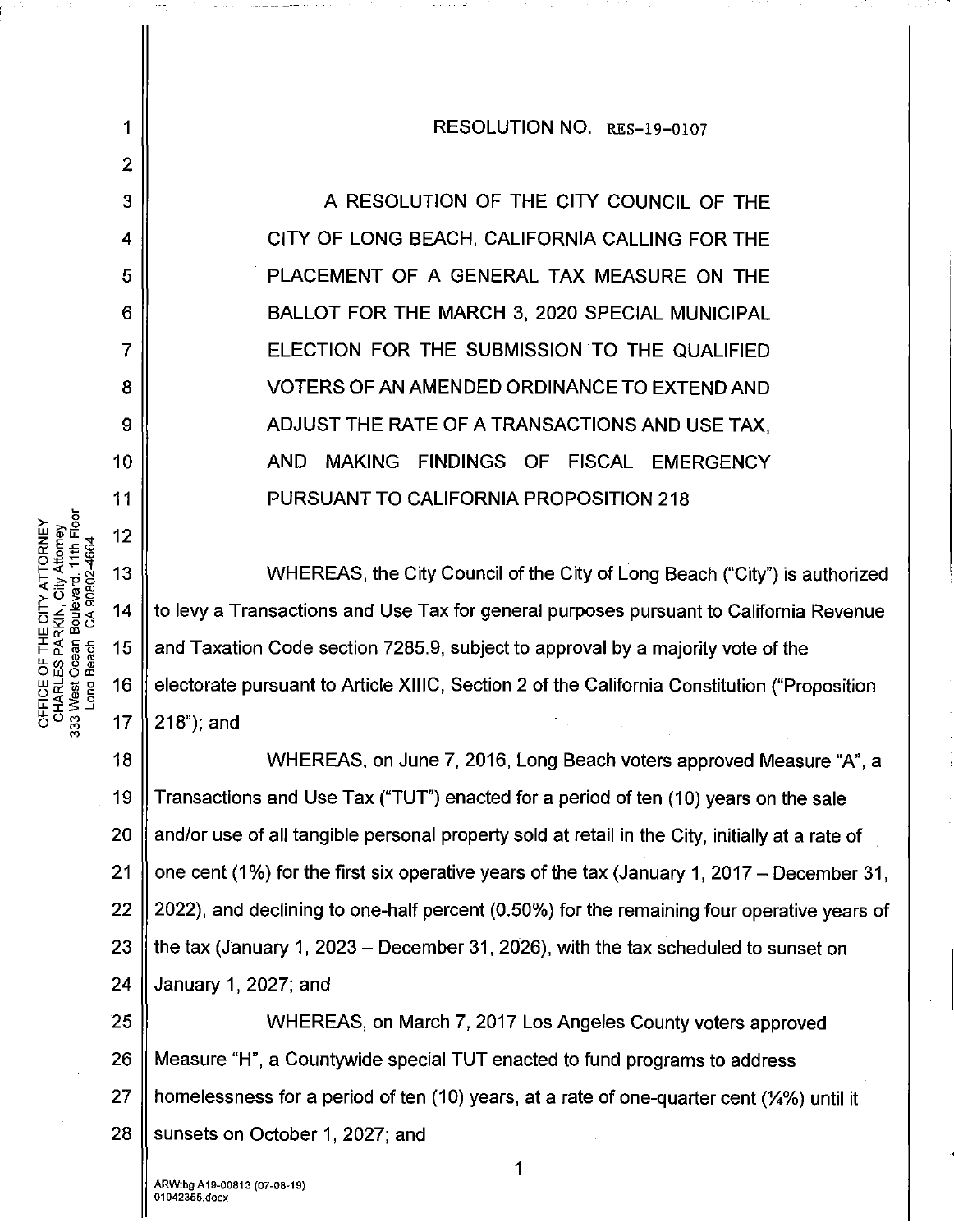## RESOLUTION NO. RES-19-0107

A RESOLUTION OF THE CITY COUNCIL OF THE CITY OF LONG BEACH, CALIFORNIA CALLING FOR THE PLACEMENT OF A GENERAL TAX MEASURE ON THE BALLOT FOR THE MARCH 3, 2020 SPECIAL MUNICIPAL ELECTION FOR THE SUBMISSION TO THE QUALIFIED VOTERS OF AN AMENDED ORDINANCE TO EXTEND AND ADJUST THE RATE OF A TRANSACTIONS AND USE TAX, AND MAKING FINDINGS OF FISCAL EMERGENCY PURSUANT TO CALIFORNIA PROPOSITION 218

WHEREAS, the City Council of the City of Long Beach ("City") is authorized to levy a Transactions and Use Tax for general purposes pursuant to California Revenue and Taxation Code section 7285.9, subject to approval by a majority vote of the electorate pursuant to Article XIIIC, Section 2 of the California Constitution ("Proposition 17  $\parallel$  218"); and

18 WHEREAS, on June 7, 2016, Long Beach voters approved Measure "A", a 19  $\parallel$  Transactions and Use Tax ("TUT") enacted for a period of ten (10) years on the sale 20 || and/or use of all tangible personal property sold at retail in the City, initially at a rate of 21 | one cent (1%) for the first six operative years of the tax (January 1, 2017 – December 31, 22  $\parallel$  2022), and declining to one-half percent (0.50%) for the remaining four operative years of 23 || the tax (January 1, 2023 – December 31, 2026), with the tax scheduled to sunset on 24 January 1, 2027; and

25 WHEREAS, on March 7, 2017 Los Angeles County voters approved 26 Measure "H", a Countywide special TUT enacted to fund programs to address 27 || homelessness for a period of ten (10) years, at a rate of one-quarter cent ( $\frac{1}{4}\%$ ) until it  $28$  || sunsets on October 1, 2027; and

1

2

3

4

5

6

7

8

9

10

11

 $12$ 

13

14

15

16

OFFICE OF THE CITY ATTORNEY<br>CHARLES PARKIN, City Attorney<br>333 West Ocean Boulevard, 11th Floor<br>Long Beach. CA 90802-4664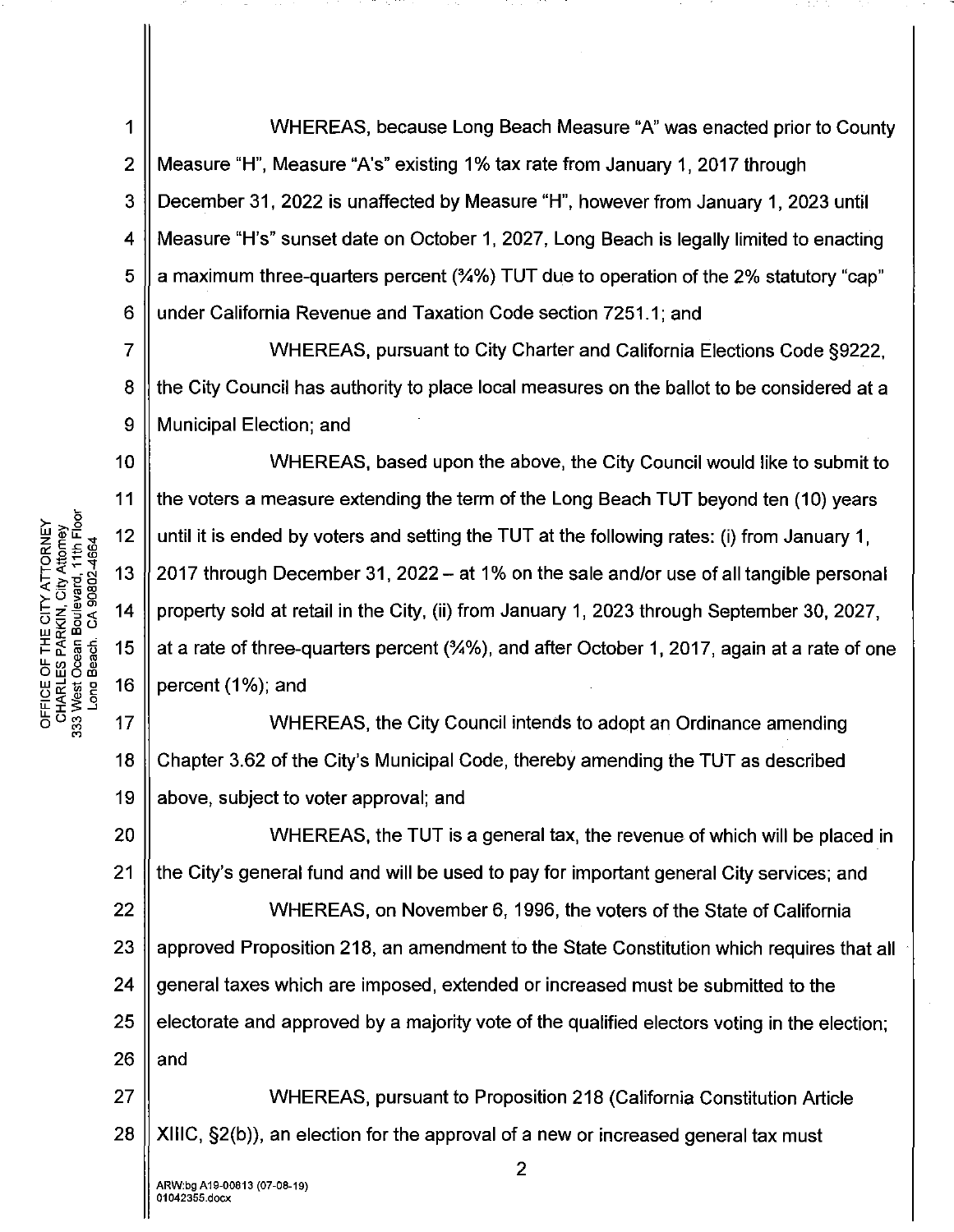1 2 3 4 5 6 WHEREAS, because Long Beach Measure "A" was enacted prior to County Measure "H", Measure "A's" existing 1% tax rate from January 1, 2017 through December 31, 2022 is unaffected by Measure "H", however from January 1, 2023 until Measure "H's" sunset date on October 1, 2027, Long Beach is legally limited to enacting a maximum three-quarters percent (%%) TUT due to operation of the 2% statutory "cap" under California Revenue and Taxation Code section 7251.1; and

7 8 9 WHEREAS, pursuant to City Charter and California Elections Code §9222, the City Council has authority to place local measures on the ballot to be considered at a Municipal Election; and

10 11 WHEREAS, based upon the above, the City Council would like to submit to the voters a measure extending the term of the Long Beach TUT beyond ten (10) years until it is ended by voters and setting the TUT at the following rates: (i) from January 1, 2017 through December 31, 2022- at 1% on the sale and/or use of all tangible personal property sold at retail in the City, (ii) from January 1, 2023 through September 30, 2027, at a rate of three-quarters percent (%%), and after October 1, 2017, again at a rate of one percent (1%); and

 $\frac{1}{6}$ **ិ**ខ្លួ 17 18 19 WHEREAS, the City Council intends to adopt an Ordinance amending Chapter 3.62 of the City's Municipal Code, thereby amending the TUT as described above, subject to voter approval; and

20 21 22 23 24 25 26 WHEREAS, the TUT is a general tax, the revenue of which will be placed in the City's general fund and will be used to pay for important general City services; and WHEREAS, on November 6, 1996, the voters of the State of California approved Proposition 218, an amendment to the State Constitution which requires that all general taxes which are imposed, extended or increased must be submitted to the electorate and approved by a majority vote of the qualified electors voting in the election; and

27 28 WHEREAS, pursuant to Proposition 218 (California Constitution Article XIIIC, §2(b)), an election for the approval of a new or increased general tax must

2

<sup>5</sup>**(U >..2 z** 12 **llH.L** ...\_.. **o:::E.cw o.B;::<D I-T<br>***A***-** *A***-** *S***<br>***S***-** *E- A- SO SO 80<br>
<i>A- E- SO* **80<br>** *A- E-* **E- 15<br>** *L***<br>** *L***<br>** *L-* **E- 15** LE OF<br><u>HARLES</u><br>HARLES<br>*W....*<br>DOS OF<br>DOS OF<br>DOS OF<br>DOS OF<br>DOS OF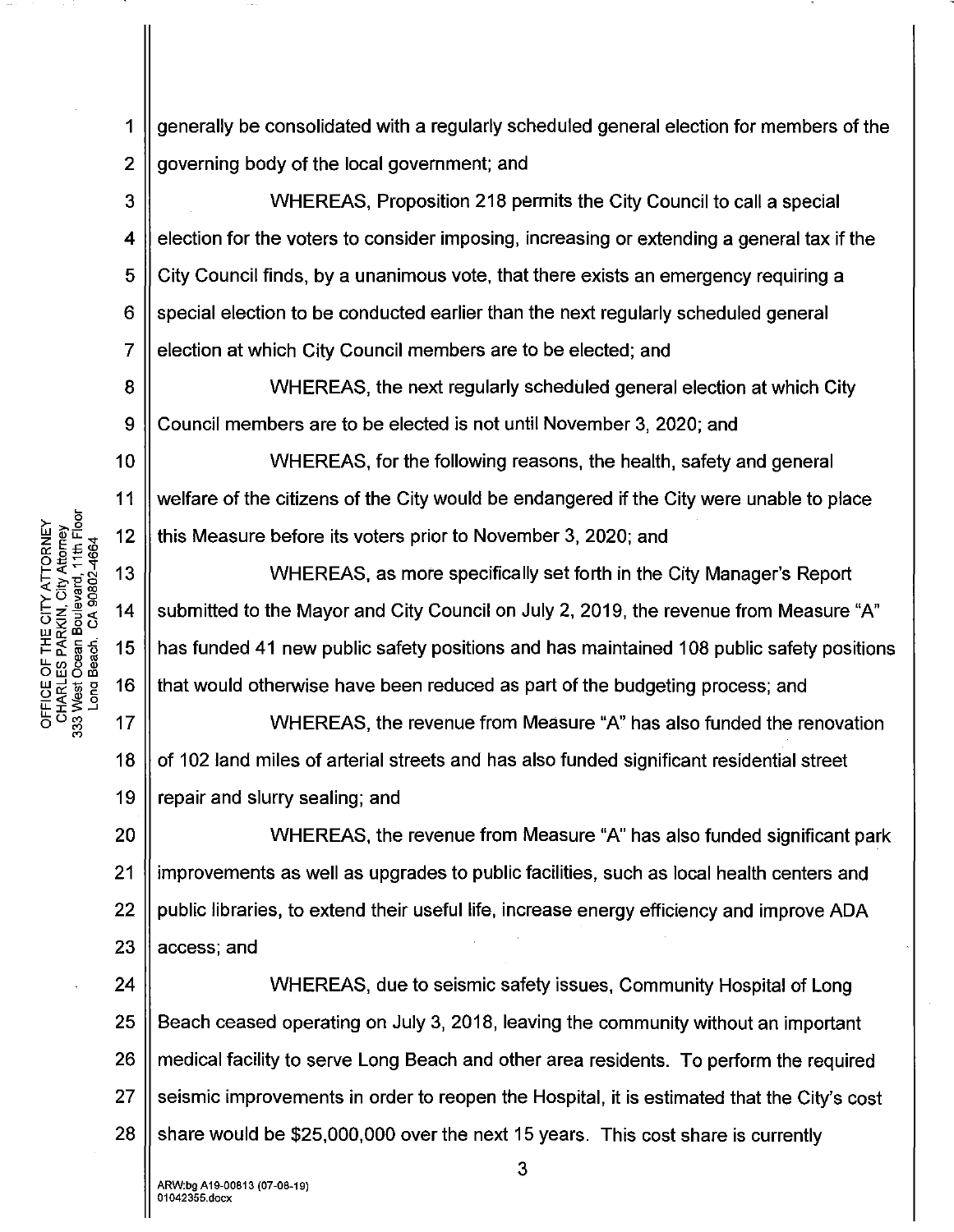generally be consolidated with a regularly scheduled general election for members of the 1  $\overline{2}$ governing body of the local government; and

WHEREAS. Proposition 218 permits the City Council to call a special  $\overline{3}$  $\boldsymbol{4}$ election for the voters to consider imposing, increasing or extending a general tax if the 5 City Council finds, by a unanimous vote, that there exists an emergency requiring a 6 special election to be conducted earlier than the next regularly scheduled general  $\overline{7}$ election at which City Council members are to be elected; and

8 WHEREAS, the next regularly scheduled general election at which City 9 Council members are to be elected is not until November 3, 2020; and

 $10$ WHEREAS, for the following reasons, the health, safety and general welfare of the citizens of the City would be endangered if the City were unable to place this Measure before its voters prior to November 3, 2020; and

 $13$ WHEREAS, as more specifically set forth in the City Manager's Report  $14$ submitted to the Mayor and City Council on July 2, 2019, the revenue from Measure "A" 15 has funded 41 new public safety positions and has maintained 108 public safety positions 16 that would otherwise have been reduced as part of the budgeting process; and

 $17$ WHEREAS, the revenue from Measure "A" has also funded the renovation 18 of 102 land miles of arterial streets and has also funded significant residential street 19 repair and slurry sealing; and

20 WHEREAS, the revenue from Measure "A" has also funded significant park improvements as well as upgrades to public facilities, such as local health centers and  $21$ 22 public libraries, to extend their useful life, increase energy efficiency and improve ADA 23 access; and

24 WHEREAS, due to seismic safety issues, Community Hospital of Long 25 Beach ceased operating on July 3, 2018, leaving the community without an important 26 medical facility to serve Long Beach and other area residents. To perform the required 27 seismic improvements in order to reopen the Hospital, it is estimated that the City's cost 28 share would be \$25,000,000 over the next 15 years. This cost share is currently

OFFICE OF THE CITY ATTORNEY<br>CHARLES PARKIN, City Attorney<br>333 West Ocean Boulevard, 11th Floor<br>Long Beach. CA 90802-4664  $12$ 

11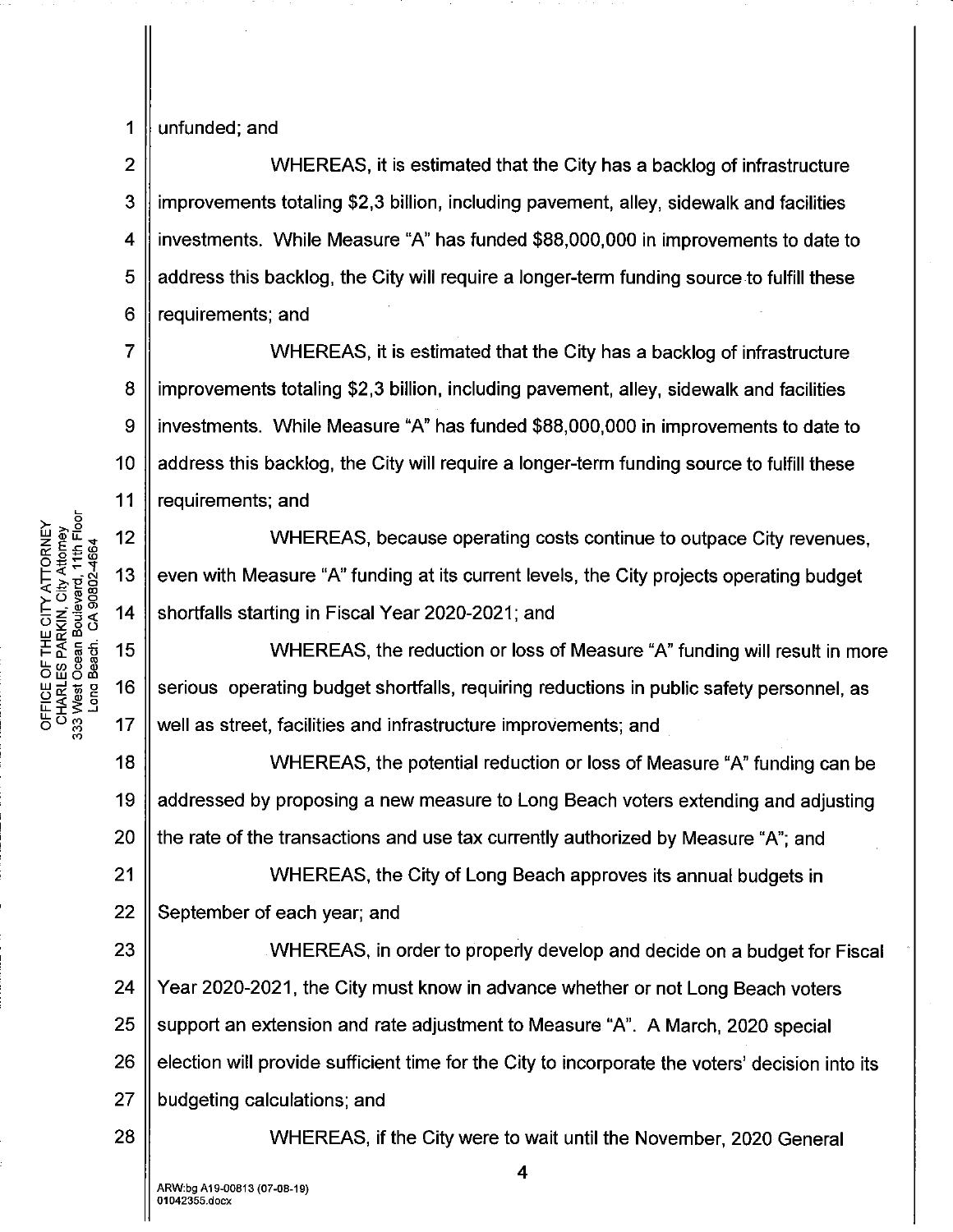2

1

## unfunded; and

3 4 5 6 WHEREAS, it is estimated that the City has a backlog of infrastructure improvements totaling \$2,3 billion, including pavement, alley, sidewalk and facilities investments. While Measure "A" has funded \$88,000,000 in improvements to date to address this backlog, the City will require a longer-term funding source to fulfill these requirements; and

7 8 9 10 11 WHEREAS, it is estimated that the City has a backlog of infrastructure improvements totaling \$2,3 billion, including pavement, alley, sidewalk and facilities investments. While Measure "A" has funded \$88,000,000 in improvements to date to address this backlog, the City will require a longer-term funding source to fulfill these requirements; and

WHEREAS, because operating costs continue to outpace City revenues, even with Measure "A" funding at its current levels, the City projects operating budget shortfalls starting in Fiscal Year 2020-2021; and

WHEREAS, the reduction or loss of Measure "A" funding will result in more serious operating budget shortfalls, requiring reductions in public safety personnel, as well as street, facilities and infrastructure improvements; and

18 19 20 WHEREAS, the potential reduction or loss of Measure "A" funding can be addressed by proposing a new measure to Long Beach voters extending and adjusting the rate of the transactions and use tax currently authorized by Measure "A"; and

21 22 WHEREAS, the City of Long Beach approves its annual budgets in September of each year; and

23 24 25 26 27 WHEREAS, in order to properly develop and decide on a budget for Fiscal Year 2020-2021, the City must know in advance whether or not Long Beach voters support an extension and rate adjustment to Measure "A". A March, 2020 special election will provide sufficient time for the City to incorporate the voters' decision into its budgeting calculations; and

WHEREAS, if the City were to wait until the November, 2020 General

<sup>5</sup>~ **>..2 ZIDU..'<t** 12 **n::::E.cw**  o.s~w ~;:;:~'f 13 -N **>."E 0 <(:!::::rooo EXAME:**<br>HE MARKING<br>A - MARKING<br>A - The Section 15 **u..C/)0(].) Ow om WARE 16**<br>WARE 38<br>*UCHAR* - 16<br>COMP 38<br>O 38 - 17

28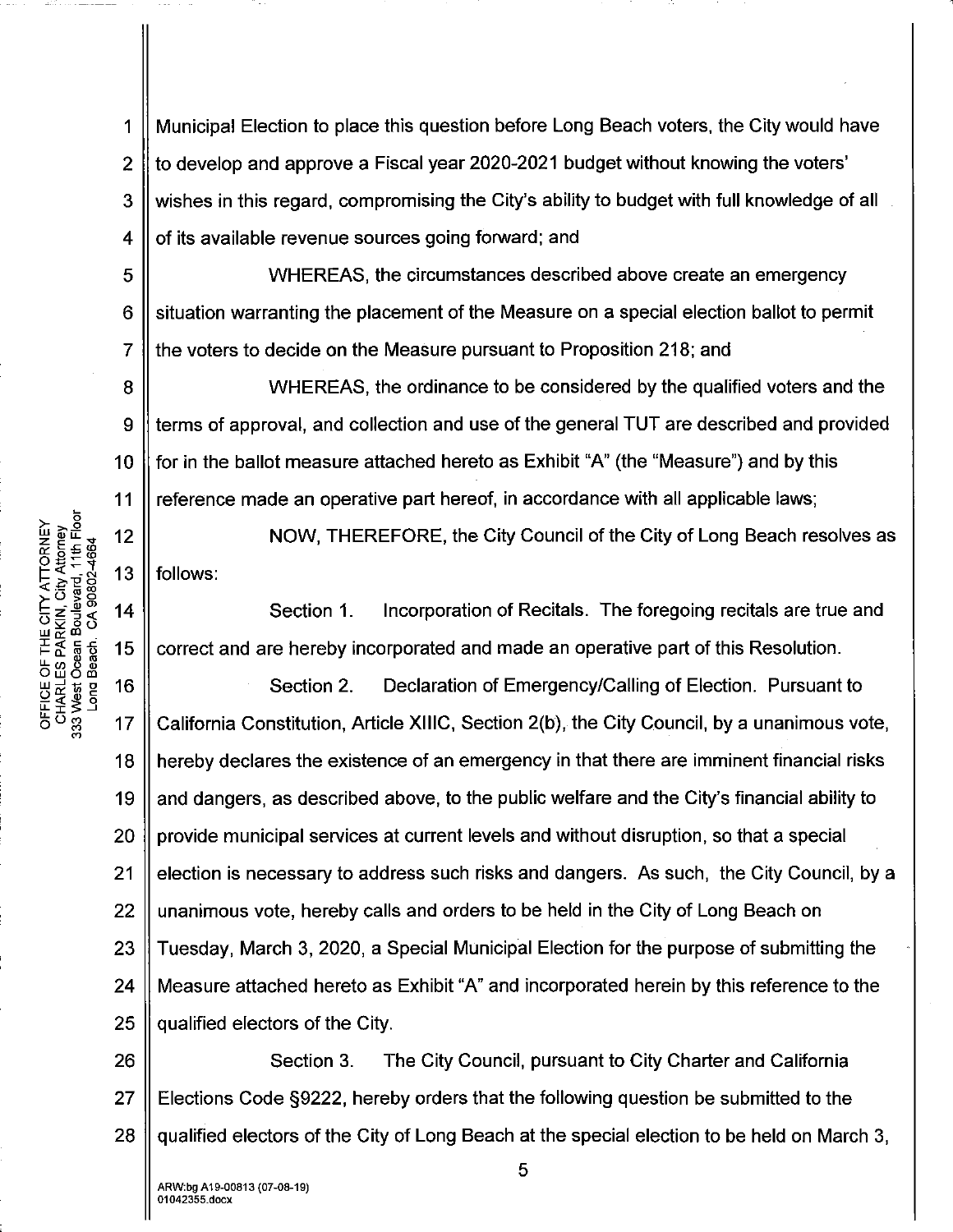1 2 3 4 Municipal Election to place this question before Long Beach voters, the City would have to develop and approve a Fiscal year 2020-2021 budget without knowing the voters' wishes in this regard, compromising the City's ability to budget with full knowledge of all of its available revenue sources going forward; and

5 6 7 WHEREAS, the circumstances described above create an emergency situation warranting the placement of the Measure on a special election ballot to permit the voters to decide on the Measure pursuant to Proposition 218; and

8 9 10 11 WHEREAS, the ordinance to be considered by the qualified voters and the terms of approval, and collection and use of the general TUT are described and provided for in the ballot measure attached hereto as Exhibit "A" (the "Measure") and by this reference made an operative part hereof, in accordance with all applicable laws;

NOW, THEREFORE, the City Council of the City of Long Beach resolves as follows:

Section 1. Incorporation of Recitals. The foregoing recitals are true and correct and are hereby incorporated and made an operative part of this Resolution.

16 Section 2. Declaration of Emergency/Calling of Election. Pursuant to  $17$ California Constitution, Article XIIIC, Section 2(b}, the City Council, by a unanimous vote, 18 hereby declares the existence of an emergency in that there are imminent financial risks and dangers, as described above, to the public welfare and the City's financial ability to 19 20 provide municipal services at current levels and without disruption, so that a special 21 election is necessary to address such risks and dangers. As such, the City Council, by a 22 unanimous vote, hereby calls and orders to be held in the City of Long Beach on 23 Tuesday, March 3, 2020, a Special Municipal Election for the purpose of submitting the 24 Measure attached hereto as Exhibit "A" and incorporated herein by this reference to the 25 qualified electors of the City.

26 Section 3. The City Council, pursuant to City Charter and California 27 Elections Code §9222, hereby orders that the following question be submitted to the 28  $\parallel$  qualified electors of the City of Long Beach at the special election to be held on March 3,

333 West Ocean Boulevard, 11th Floor **DFFICE OF THE CITY ATTORNEY**<br>CHARLES PARKIN, City Attomey

正<br>05

Long Beach CA 90802-4664

 $12$ 

13

 $14$ 

15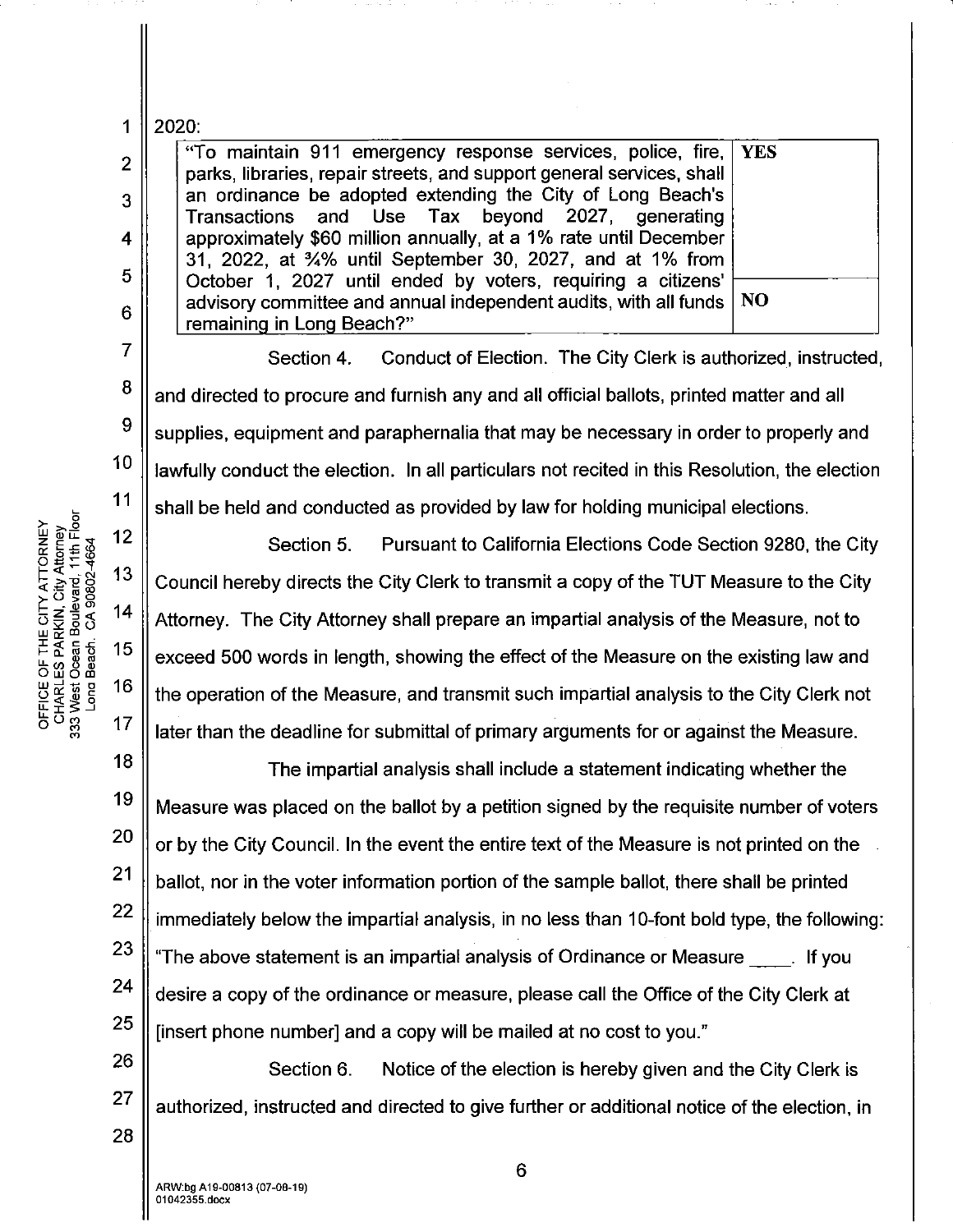1 2020:

2

3

4

5

6

7

8

9

10

11

5<br>ا§. <u>ج</u>

 $\mathbb{Z} \, \overset{\omega \text{}}{\underset{\text{def}}{\mathbb{E}}} \, \overset{\omega \text{}}{\underset{\text{def}}{\mathbb{E}}} \, \overset{\text{def}}{\underset{\text{def}}{\mathbb{E}}} \, \; 12$  $\bar{C}$   $\bar{\xi}$   $\bar{\xi}$   $\bar{\xi}$   $\bar{\xi}$  13

 $\times$  City<br>
City<br>
Explores<br>
City<br>
Solon<br>
City<br>
Solon<br>
City<br>
City<br>
City<br>
City<br>
City<br>
City<br>
City<br>
City<br>
City<br>
City<br>
City<br>
City<br>
City<br>
City<br>
City<br>
City<br>
City<br>
City<br>
City<br>
City<br>
City<br>
City<br>
City<br>
City<br>
City<br>
City<br>
City<br>
City<br>
C

UJ<>::"' **Ic:t:c...C**  1-c..:g~ 15

LOE OF<br><u>HARLES</u><br>HARLES<br>West Oo:<br>Dom Bo:<br>Dom Bo:

 $\frac{1}{6}$ 5 $\frac{2}{8}$  17

"To maintain 911 emergency response services, police, fire,  $YES$ parks, libraries, repair streets, and support general services, shall an ordinance be adopted extending the City of Long Beach's Transactions and Use Tax beyond 2027, generating approximately \$60 million annually, at a 1% rate until December 31, 2022, at %% until September 30, 2027, and at 1% from October 1, 2027 until ended by voters, requiring a citizens' advisory committee and annual independent audits, with all funds  $\vert$  NO remaining in Long Beach?"

Section 4. Conduct of Election. The City Clerk is authorized, instructed, and directed to procure and furnish any and all official ballots, printed matter and all supplies, equipment and paraphernalia that may be necessary in order to properly and lawfully conduct the election. In all particulars not recited in this Resolution, the election shall be held and conducted as provided by law for holding municipal elections.

Section 5. Pursuant to California Elections Code Section 9280, the City Council hereby directs the City Clerk to transmit a copy of the TUT Measure to the City Attorney. The City Attorney shall prepare an impartial analysis of the Measure, not to exceed 500 words in length, showing the effect of the Measure on the existing law and the operation of the Measure, and transmit such impartial analysis to the City Clerk not later than the deadline for submittal of primary arguments for or against the Measure.

18 19 20 21 22 23 24 25 The impartial analysis shall include a statement indicating whether the Measure was placed on the ballot by a petition signed by the requisite number of voters or by the City Council. In the event the entire text of the Measure is not printed on the ballot, nor in the voter information portion of the sample ballot, there shall be printed immediately below the impartial analysis, in no less than 10-font bold type, the following: "The above statement is an impartial analysis of Ordinance or Measure \_\_ . If you desire a copy of the ordinance or measure, please call the Office of the City Clerk at [insert phone number] and a copy will be mailed at no cost to you."

26 Section 6. Notice of the election is hereby given and the City Clerk is authorized, instructed and directed to give further or additional notice of the election, in

27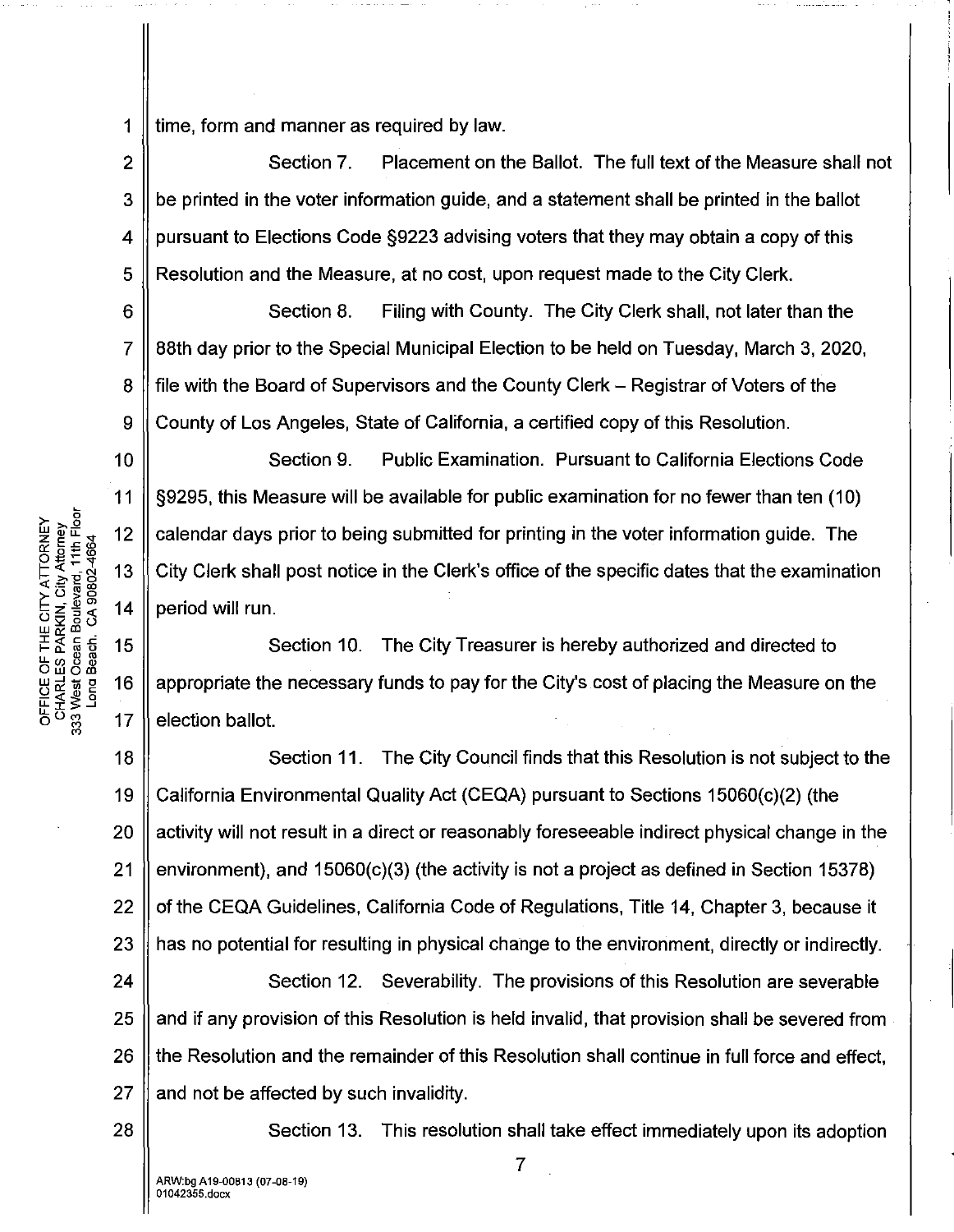1  $\parallel$  time, form and manner as required by law.

2  $\parallel$  Section 7. Placement on the Ballot. The full text of the Measure shall not  $3 \parallel$  be printed in the voter information quide, and a statement shall be printed in the ballot 4  $\parallel$  pursuant to Elections Code §9223 advising voters that they may obtain a copy of this 5 Resolution and the Measure, at no cost, upon request made to the City Clerk.

6 Section 8. Filing with County. The City Clerk shall, not later than the 7 88th day prior to the Special Municipal Election to be held on Tuesday, March 3, 2020, 8 | file with the Board of Supervisors and the County Clerk – Registrar of Voters of the  $9 \parallel$  County of Los Angeles, State of California, a certified copy of this Resolution.

Section 9. Public Examination. Pursuant to California Elections Code §9295, this Measure will be available for public examination for no fewer than ten (10) calendar days prior to being submitted for printing in the voter information guide. The City Clerk shall post notice in the Clerk's office of the specific dates that the examination period will run.

15 Section 10. The City Treasurer is hereby authorized and directed to 16 appropriate the necessary funds to pay for the City's cost of placing the Measure on the  $17$ election ballot.

18 19 20 21 22 23 Section 11. The City Council finds that this Resolution is not subject to the California Environmental Quality Act (CEQA) pursuant to Sections 15060(c)(2) (the activity will not result in a direct or reasonably foreseeable indirect physical change in the environment), and 15060(c)(3) (the activity is not a project as defined in Section 15378) of the CEQA Guidelines, California Code of Regulations, Title 14, Chapter 3, because it has no potential for resulting in physical change to the environment, directly or indirectly.

24 25 26 27 Section 12. Severability. The provisions of this Resolution are severable and if any provision of this Resolution is held invalid, that provision shall be severed from the Resolution and the remainder of this Resolution shall continue in full force and effect, and not be affected by such invalidity.

Section 13. This resolution shall take effect immediately upon its adoption

OFFICE OF THE CITY ATTORNEY<br>CHARLES PARKIN, City Attorney<br>333 West Ocean Boulevard, 11th Floor<br>Long Beach. CA 90802-4664

10

11

 $12$ 

13

 $14$ 

28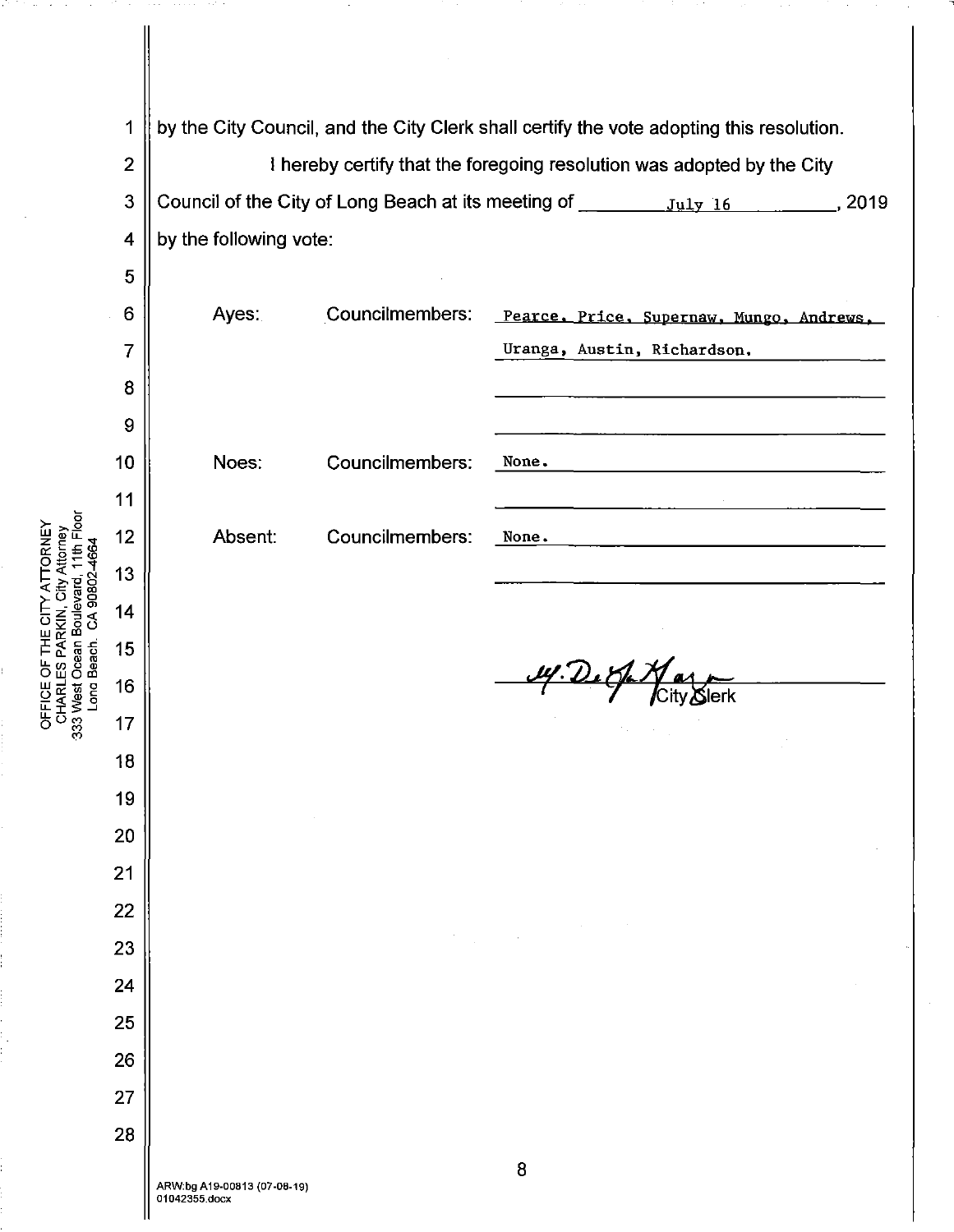$\overline{2}$ 

 $\overline{5}$ 

 $6\phantom{a}$ 

 $\overline{7}$ 

 $\boldsymbol{8}$ 

 $\overline{9}$ 

 $10$ 

 $11$ 

 $12$ 

13

 $14$ 

15

16

 $17$ 

18

19

20

 $21$ 

22

23

24

25

26

27

28

 $\overline{1}$ 

by the City Council, and the City Clerk shall certify the vote adopting this resolution.

I hereby certify that the foregoing resolution was adopted by the City  $\overline{3}$ by the following vote:  $\overline{4}$ 

| Ayes.   | Councilmembers: | Pearce, Price, Supernaw, Mungo, Andrews, |
|---------|-----------------|------------------------------------------|
|         |                 | Uranga, Austin, Richardson.              |
|         |                 |                                          |
|         |                 |                                          |
| Noes:   | Councilmembers: | None.                                    |
| Absent: | Councilmembers: | None.                                    |
|         |                 |                                          |

14. De Sp Naz

OFFICE OF THE CITY ATTORNEY<br>CHARLES PARKIN, City Attorney<br>333 West Ocean Boulevard, 11th Floor<br>Long Beach. CA 90802-4664

 $\mathcal{L}_{\mathrm{max}}$  and  $\mathcal{L}_{\mathrm{max}}$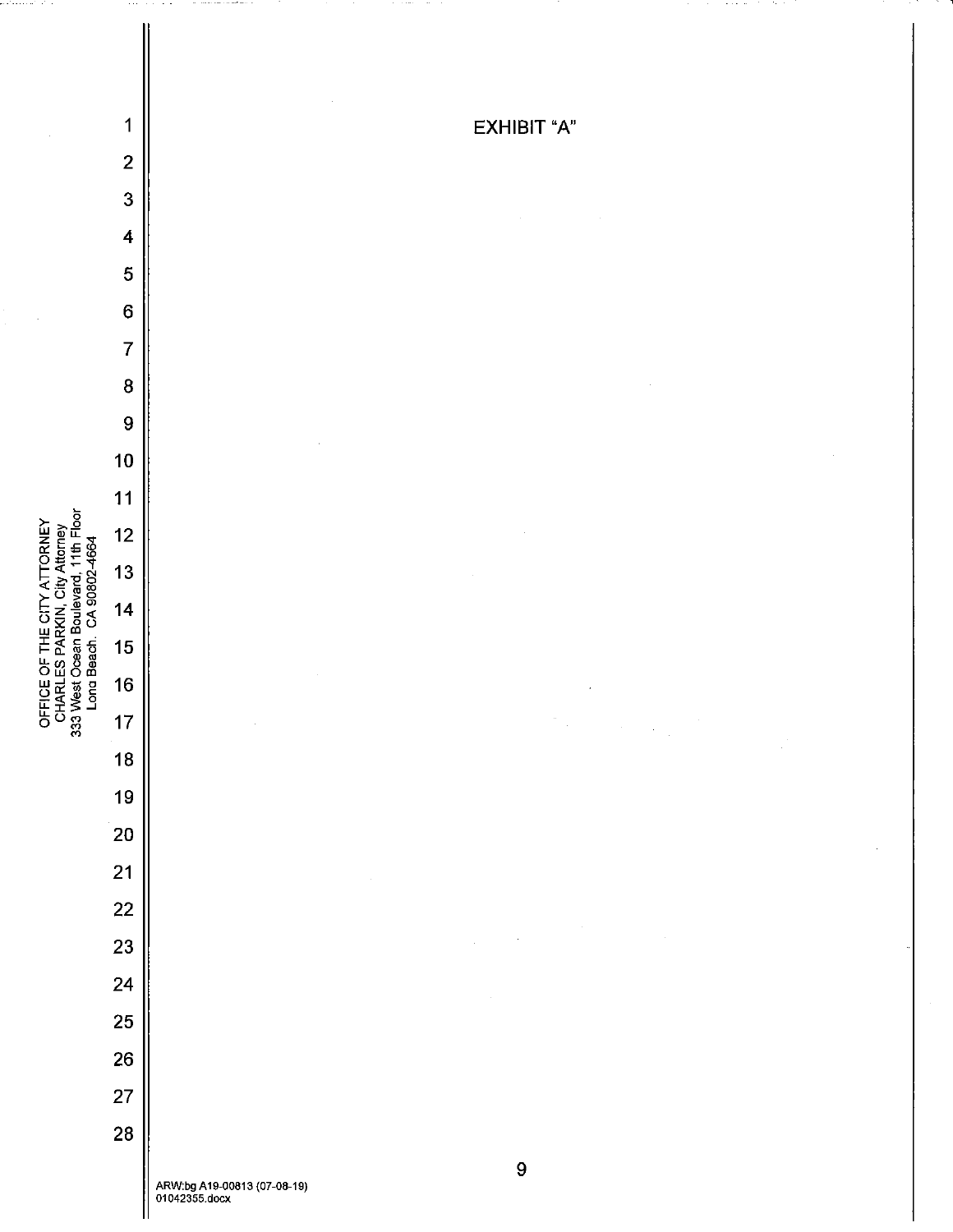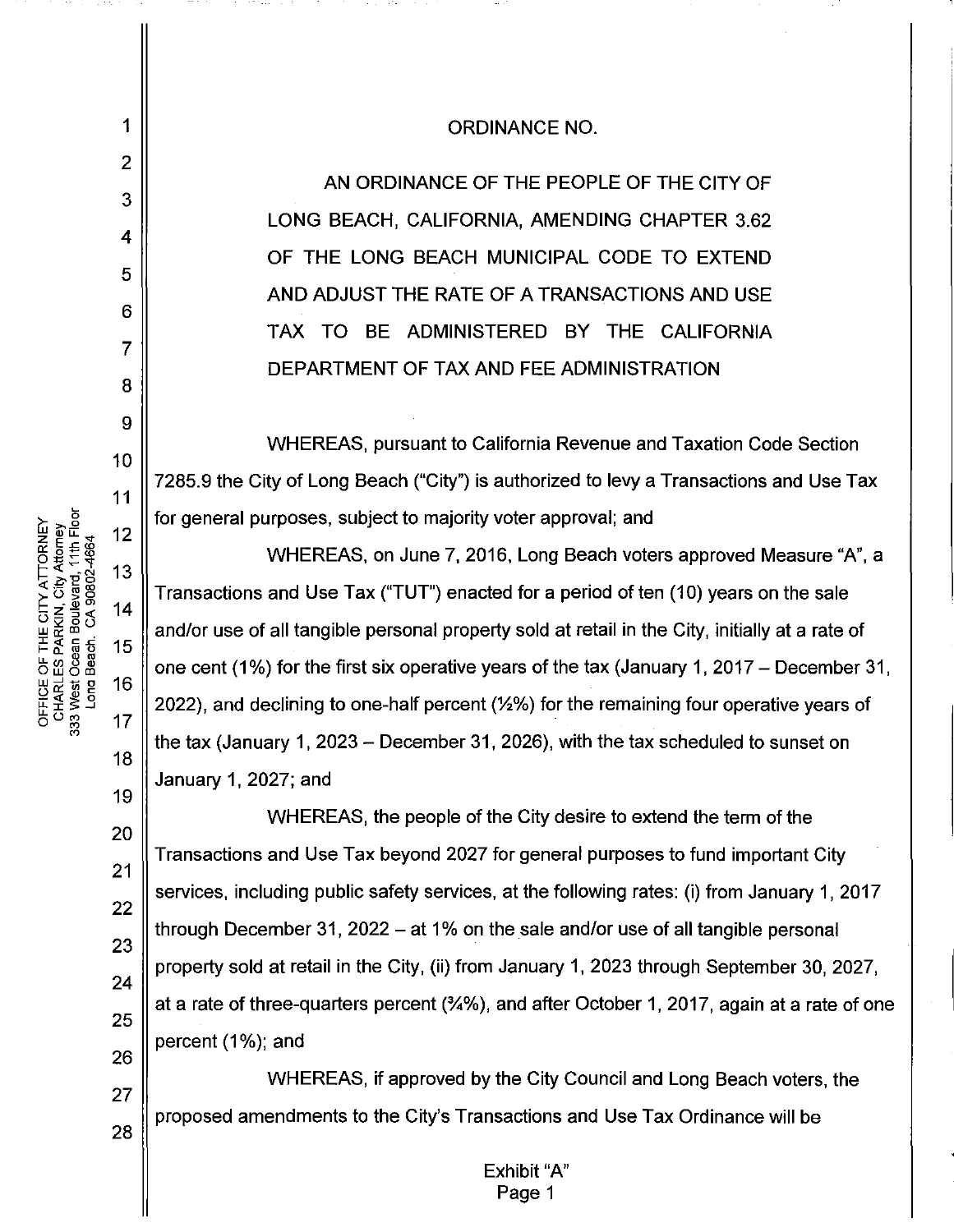## **ORDINANCE NO.**

AN ORDINANCE OF THE PEOPLE OF THE CITY OF LONG BEACH, CALIFORNIA, AMENDING CHAPTER 3.62 OF THE LONG BEACH MUNICIPAL CODE TO EXTEND AND ADJUST THE RATE OF A TRANSACTIONS AND USE TAX TO BE ADMINISTERED BY THE CALIFORNIA DEPARTMENT OF TAX AND FEE ADMINISTRATION

WHEREAS, pursuant to California Revenue and Taxation Code Section 7285.9 the City of Long Beach ("City") is authorized to levy a Transactions and Use Tax for general purposes, subject to majority voter approval; and

WHEREAS, on June 7, 2016, Long Beach voters approved Measure "A", a Transactions and Use Tax ("TUT") enacted for a period of ten (10) years on the sale and/or use of all tangible personal property sold at retail in the City, initially at a rate of one cent (1%) for the first six operative years of the tax (January 1, 2017 – December 31, 2022), and declining to one-half percent (1/2%) for the remaining four operative years of the tax (January 1, 2023 – December 31, 2026), with the tax scheduled to sunset on January 1, 2027; and

WHEREAS, the people of the City desire to extend the term of the Transactions and Use Tax beyond 2027 for general purposes to fund important City services, including public safety services, at the following rates: (i) from January 1, 2017 through December 31, 2022 – at 1% on the sale and/or use of all tangible personal property sold at retail in the City, (ii) from January 1, 2023 through September 30, 2027. at a rate of three-quarters percent (34%), and after October 1, 2017, again at a rate of one percent (1%); and

WHEREAS, if approved by the City Council and Long Beach voters, the 27 proposed amendments to the City's Transactions and Use Tax Ordinance will be 28

> Exhibit "A" Page 1

OFFICE OF THE CITY ATTORNEY<br>CHARLES PARKIN, City Attorney<br>333 West Ocean Boulevard, 11th Floor  $12$ Long Beach. CA 90802-4664  $13$  $14$ 15 16

 $\mathbf 1$ 

 $\overline{2}$ 

3

4

5

6

 $\overline{7}$ 

8

9

 $10$ 

 $11$ 

 $17$ 

18

19

20

 $21$ 

22

23

24

25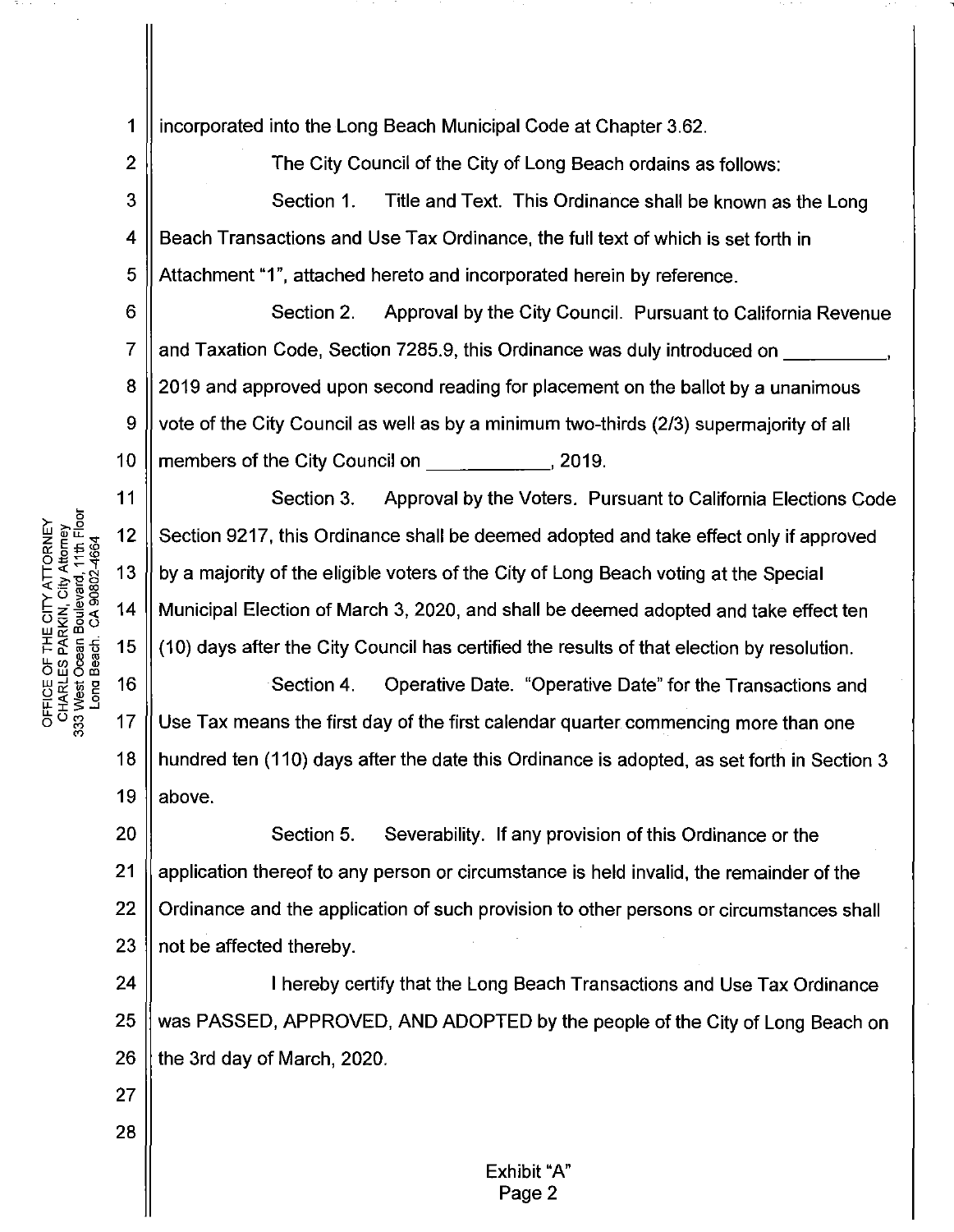1 incorporated into the Long Beach Municipal Code at Chapter 3.62.

The City Council of the City of Long Beach ordains as follows: Section 1. Title and Text. This Ordinance shall be known as the Long 4 Beach Transactions and Use Tax Ordinance, the full text of which is set forth in Attachment "1", attached hereto and incorporated herein by reference.

6 Section 2. Approval by the City Council. Pursuant to California Revenue 7 and Taxation Code, Section 7285.9, this Ordinance was duly introduced on 8 2019 and approved upon second reading for placement on the ballot by a unanimous 9 vote of the City Council as well as by a minimum two-thirds (2/3) supermajority of all 10 members of the City Council on Theorem 2019.

Section 3. Approval by the Voters. Pursuant to California Elections Code Section 9217, this Ordinance shall be deemed adopted and take effect only if approved by a majority of the eligible voters of the City of Long Beach voting at the Special Municipal Election of March 3, 2020, and shall be deemed adopted and take effect ten (10) days after the City Council has certified the results of that election by resolution.

Section 4. Operative Date. "Operative Date" for the Transactions and  $17$ Use Tax means the first day of the first calendar quarter commencing more than one 18 hundred ten (110) days after the date this Ordinance is adopted, as set forth in Section 3 19 above.

20 Section 5. Severability. If any provision of this Ordinance or the 21 application thereof to any person or circumstance is held invalid, the remainder of the 22 Ordinance and the application of such provision to other persons or circumstances shall 23 not be affected thereby.

24 I hereby certify that the Long Beach Transactions and Use Tax Ordinance 25 was PASSED, APPROVED, AND ADOPTED by the people of the City of Long Beach on 26 the 3rd day of March, 2020.

OFFICE OF THE CITY ATTORNEY<br>CHARLES PARKIN, City Attorney<br>333 West Ocean Boulevard, 11th Floor Long Beach, CA 90802-4664 13 14 15 16

 $\overline{2}$ 

3

5

 $11$ 

12

27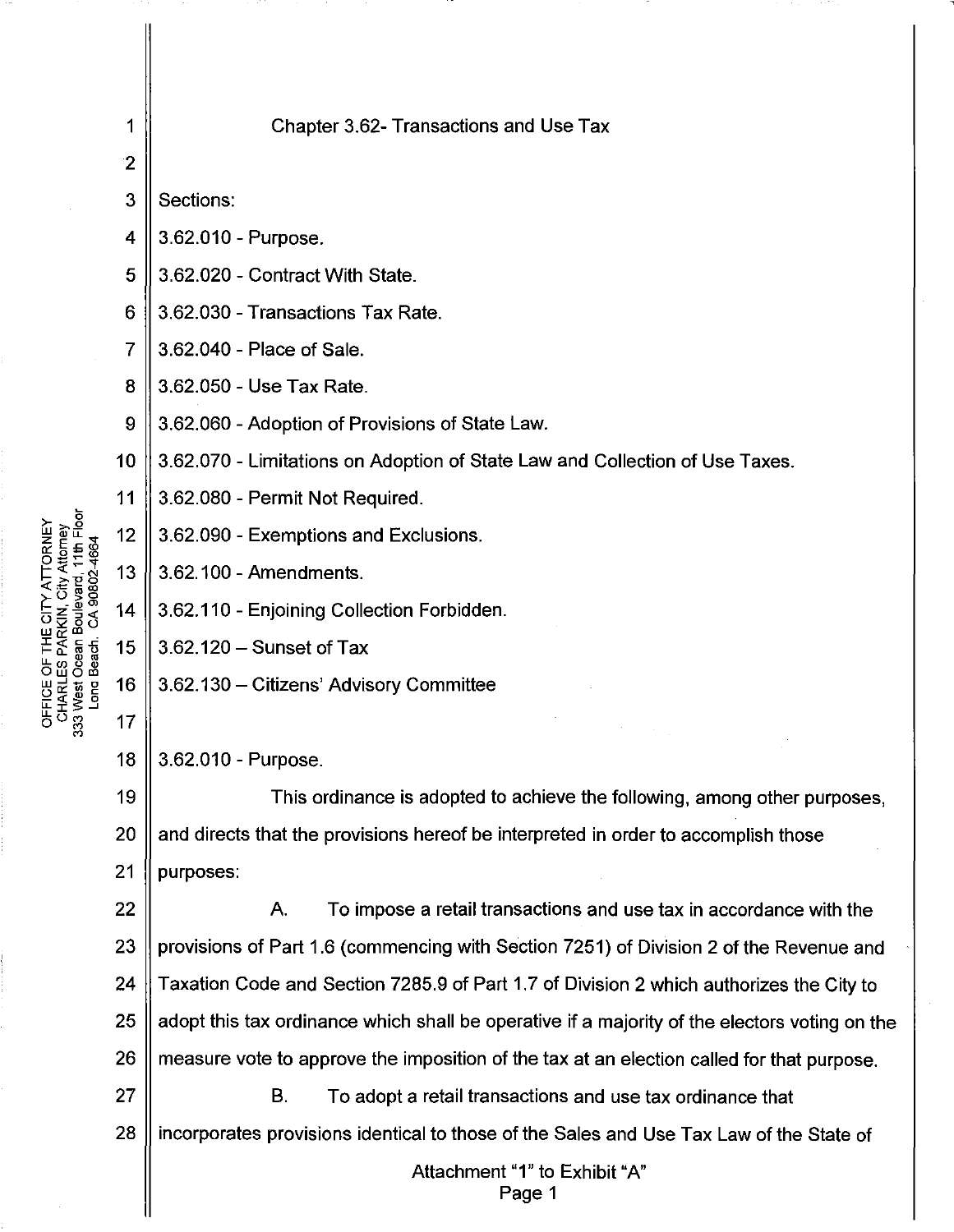|                                        | 1            | Chapter 3.62- Transactions and Use Tax                                                        |
|----------------------------------------|--------------|-----------------------------------------------------------------------------------------------|
|                                        | $\mathbf{2}$ |                                                                                               |
|                                        | 3            | Sections:                                                                                     |
|                                        | 4            | 3.62.010 - Purpose.                                                                           |
|                                        | 5            | 3.62.020 - Contract With State.                                                               |
|                                        | 6            | 3.62.030 - Transactions Tax Rate.                                                             |
|                                        | 7            | 3.62.040 - Place of Sale.                                                                     |
|                                        | 8            | 3.62.050 - Use Tax Rate.                                                                      |
|                                        | 9            | 3.62.060 - Adoption of Provisions of State Law.                                               |
|                                        | 10           | 3.62.070 - Limitations on Adoption of State Law and Collection of Use Taxes.                  |
|                                        | 11           | 3.62.080 - Permit Not Required.                                                               |
| 1th Floor<br>ORNEY<br>Attorney<br>4664 | 12           | 3.62.090 - Exemptions and Exclusions.                                                         |
|                                        | 13           | 3.62.100 - Amendments.                                                                        |
|                                        | 14           | 3.62.110 - Enjoining Collection Forbidden.                                                    |
|                                        | 15           | 3.62.120 - Sunset of Tax                                                                      |
| Long Beach                             | 16           | 3.62.130 - Citizens' Advisory Committee                                                       |
| ంౖౢ                                    | 17           |                                                                                               |
|                                        | 18           | 3.62.010 - Purpose.                                                                           |
|                                        | 19           | This ordinance is adopted to achieve the following, among other purposes,                     |
|                                        | 20           | and directs that the provisions hereof be interpreted in order to accomplish those            |
|                                        | 21           | purposes:                                                                                     |
|                                        | 22           | To impose a retail transactions and use tax in accordance with the<br>Α.                      |
|                                        | 23           | provisions of Part 1.6 (commencing with Section 7251) of Division 2 of the Revenue and        |
|                                        | 24           | Taxation Code and Section 7285.9 of Part 1.7 of Division 2 which authorizes the City to       |
|                                        | 25           | adopt this tax ordinance which shall be operative if a majority of the electors voting on the |
|                                        | 26           | measure vote to approve the imposition of the tax at an election called for that purpose.     |
|                                        | 27           | В.<br>To adopt a retail transactions and use tax ordinance that                               |
|                                        | 28           | incorporates provisions identical to those of the Sales and Use Tax Law of the State of       |
|                                        |              | Attachment "1" to Exhibit "A"<br>Page 1                                                       |
|                                        |              |                                                                                               |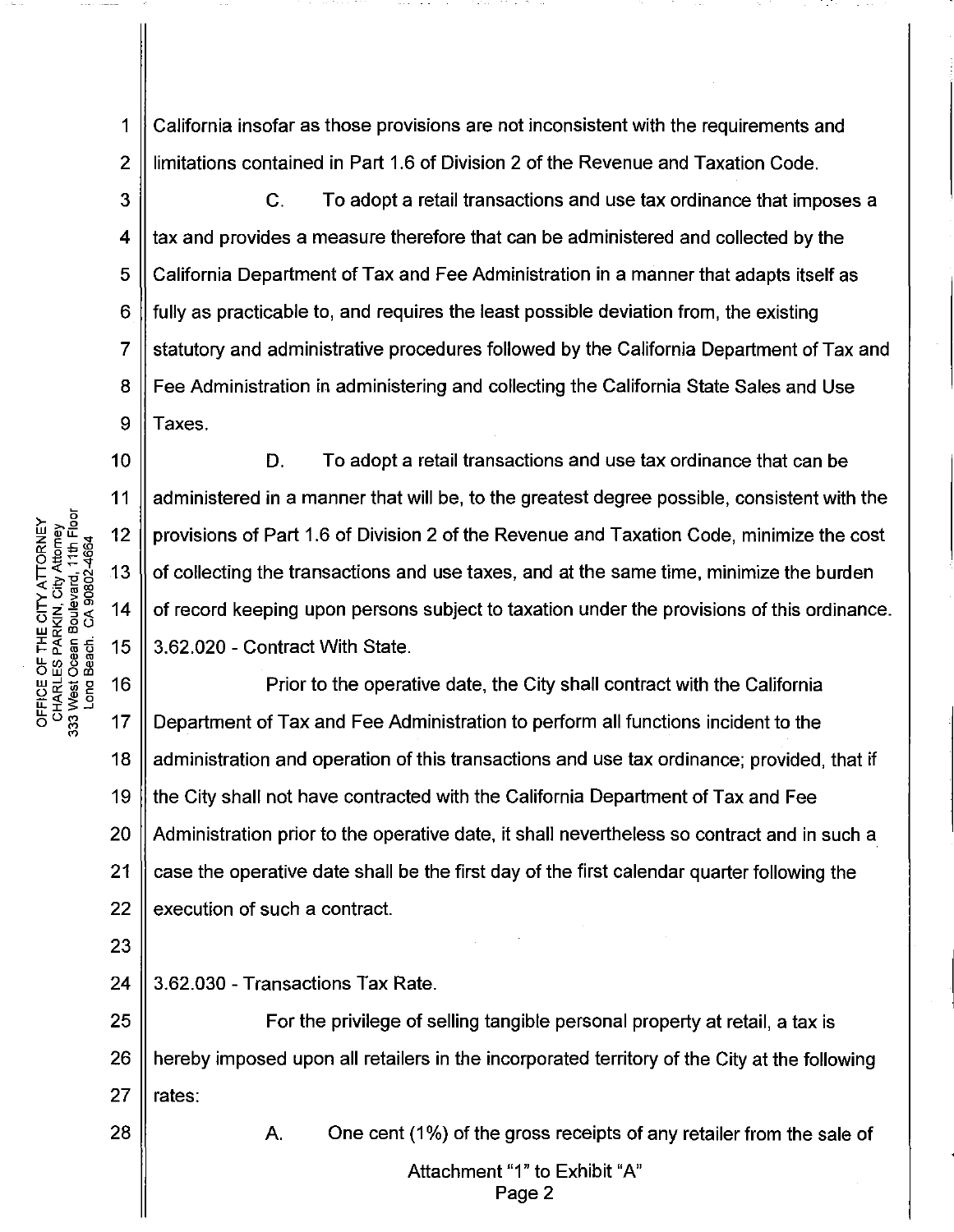California insofar as those provisions are not inconsistent with the requirements and 1  $\overline{2}$ limitations contained in Part 1.6 of Division 2 of the Revenue and Taxation Code.

3  $\mathbf{C}$ . To adopt a retail transactions and use tax ordinance that imposes a  $\overline{\mathbf{4}}$ tax and provides a measure therefore that can be administered and collected by the 5 California Department of Tax and Fee Administration in a manner that adapts itself as fully as practicable to, and requires the least possible deviation from, the existing 6  $\overline{7}$ statutory and administrative procedures followed by the California Department of Tax and  $\mathbf{B}$ Fee Administration in administering and collecting the California State Sales and Use 9 Taxes.

D. To adopt a retail transactions and use tax ordinance that can be administered in a manner that will be, to the greatest degree possible, consistent with the provisions of Part 1.6 of Division 2 of the Revenue and Taxation Code, minimize the cost of collecting the transactions and use taxes, and at the same time, minimize the burden of record keeping upon persons subject to taxation under the provisions of this ordinance. 3.62.020 - Contract With State.

16 Prior to the operative date, the City shall contract with the California  $17$ Department of Tax and Fee Administration to perform all functions incident to the 18 administration and operation of this transactions and use tax ordinance; provided, that if the City shall not have contracted with the California Department of Tax and Fee 19 20 Administration prior to the operative date, it shall nevertheless so contract and in such a 21 case the operative date shall be the first day of the first calendar quarter following the 22 execution of such a contract.

24 3.62.030 - Transactions Tax Rate.

25 For the privilege of selling tangible personal property at retail, a tax is 26 hereby imposed upon all retailers in the incorporated territory of the City at the following 27 rates:

28

Α. One cent (1%) of the gross receipts of any retailer from the sale of

> Attachment "1" to Exhibit "A" Page 2

OFFICE OF THE CITY ATTORNEY<br>CHARLES PARKIN, City Attorney<br>333 West Ocean Boulevard, 11th Floor<br>Long Beach. CA 90802-4664

 $10$ 

 $11$ 

 $12$ 

 $13$ 

 $14$ 

15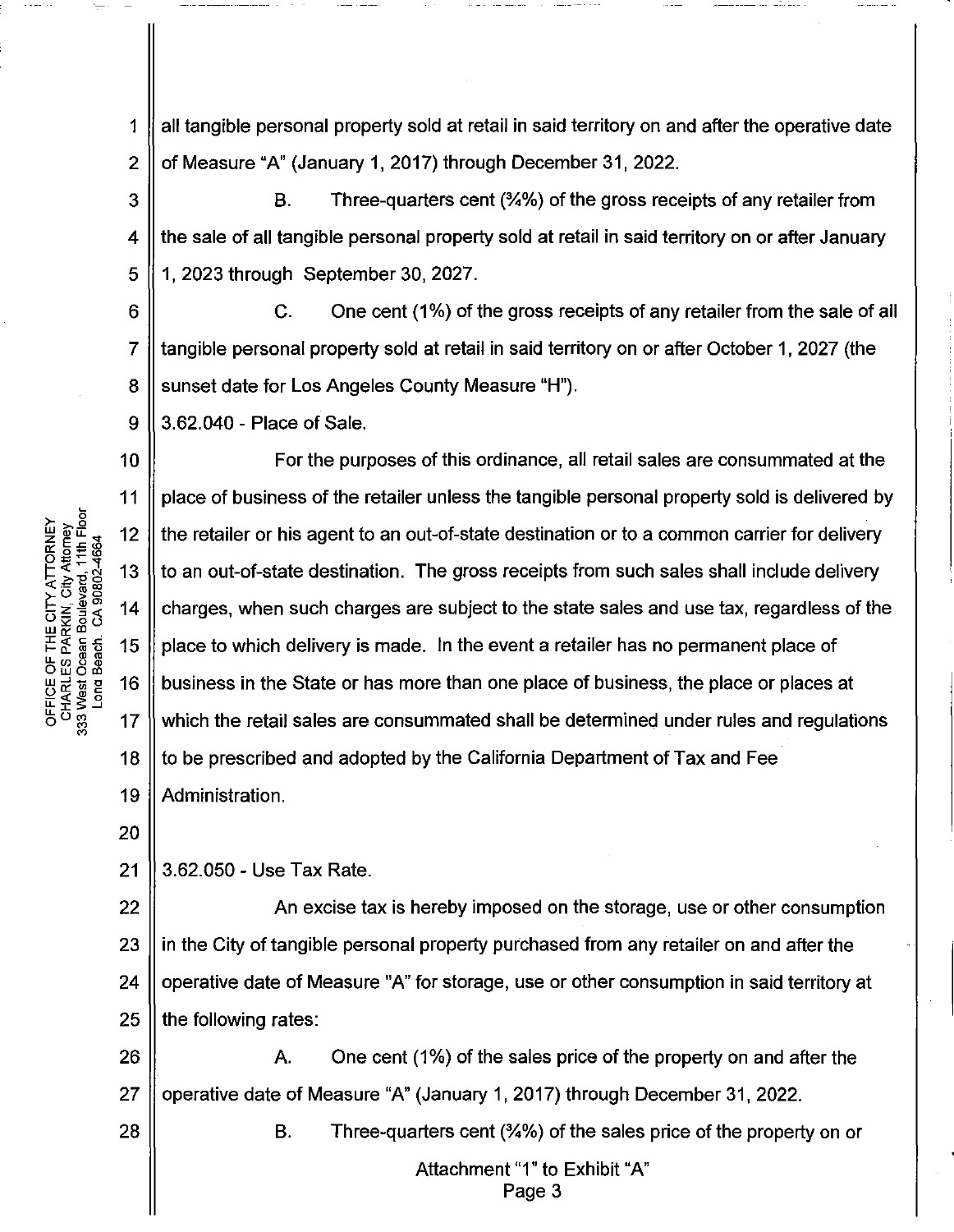1 2 all tangible personal property sold at retail in said territory on and after the operative date of Measure "A" (January 1, 2017) through December 31, 2022.

3 4 5 B. Three-quarters cent (%%) of the gross receipts of any retailer from the sale of all tangible personal property sold at retail in said territory on or after January 1, 2023 through September 30, 2027.

6 7 8 C. One cent (1%) of the gross receipts of any retailer from the sale of all tangible personal property sold at retail in said territory on or after October 1, 2027 (the sunset date for Los Angeles County Measure "H").

3.62.040 - Place of Sale.

10 11 12 17 18 For the purposes of this ordinance, all retail sales are consummated at the place of business of the retailer unless the tangible personal property sold is delivered by the retailer or his agent to an out-of-state destination or to a common carrier for delivery to an out-of-state destination. The gross receipts from such sales shall include delivery charges, when such charges are subject to the state sales and use tax, regardless of the place to which delivery is made. In the event a retailer has no permanent place of business in the State or has more than one place of business, the place or places at which the retail sales are consummated shall be determined under rules and regulations to be prescribed and adopted by the California Department of Tax and Fee 19 || Administration.

20

9

21 || 3.62.050 - Use Tax Rate.

22 An excise tax is hereby imposed on the storage, use or other consumption 23  $\parallel$  in the City of tangible personal property purchased from any retailer on and after the 24 || operative date of Measure "A" for storage, use or other consumption in said territory at  $25$  || the following rates:

26  $\parallel$  A. One cent (1%) of the sales price of the property on and after the 27  $\parallel$  operative date of Measure "A" (January 1, 2017) through December 31, 2022. 28  $\parallel$  B. Three-quarters cent (%%) of the sales price of the property on or

> Attachment "1" to Exhibit "A" Page 3

ATTORNEY<br>*i*ty Attorney<br>ard, 11th Floor<br>ard, 11th Floor ੋ⊏ ⊃<br>ਸਾਰ ਭੂਲ<br>ਮਾਰ ਭੂਲ **c.>szou** Wc::<Il FICE OF TH<br>HARLES PAI<br>West Ocean<br>Vest Ocean  $5^{\,5}_{\,5}$ 13 14 15 16

 $^{\circ}$   $^{\circ}$   $^{\circ}$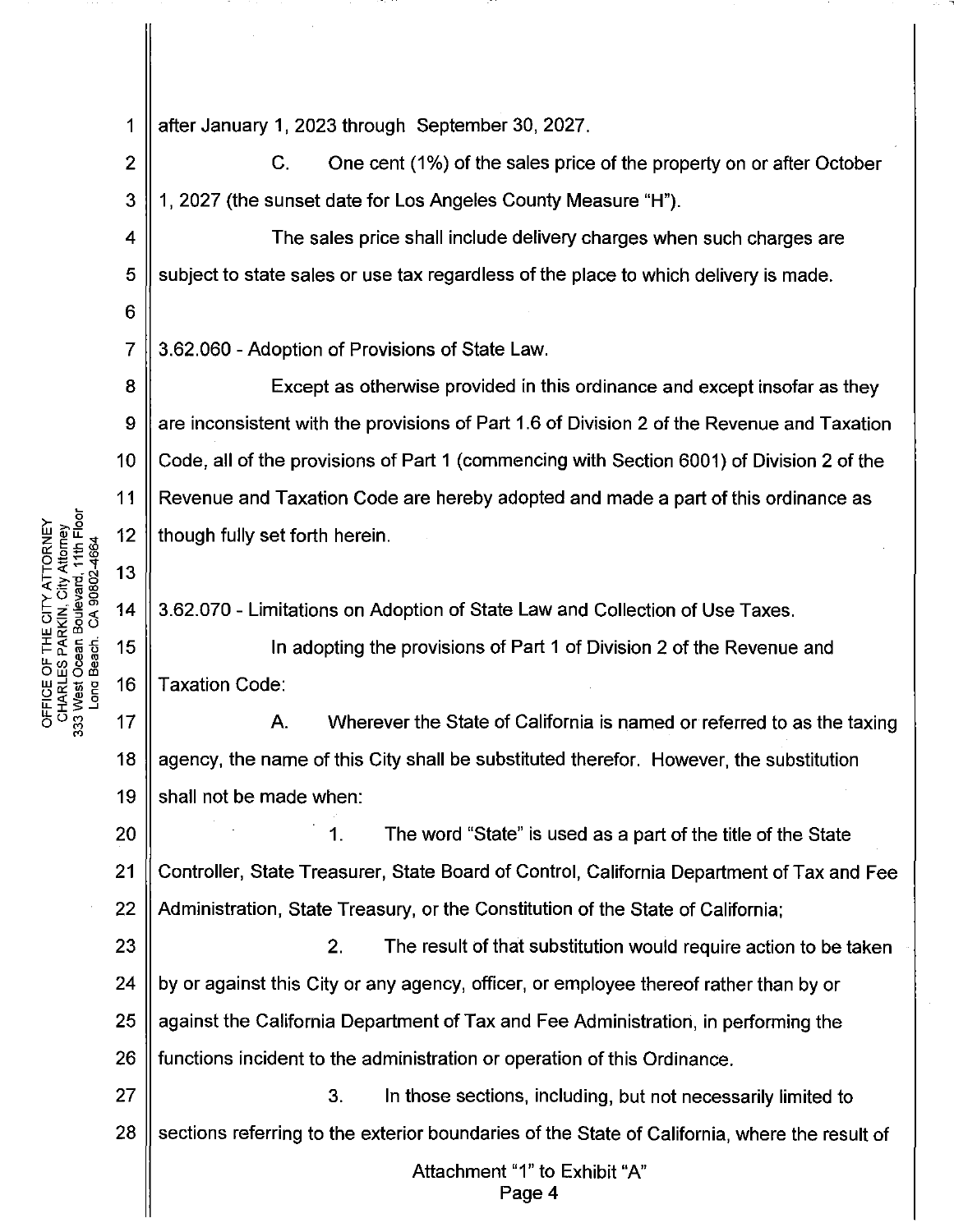1 after January 1, 2023 through September 30, 2027.

2 || C. One cent (1%) of the sales price of the property on or after October 3 1, 2027 (the sunset date for Los Angeles County Measure "H").

4  $\parallel$  The sales price shall include delivery charges when such charges are  $5 \parallel$  subject to state sales or use tax regardless of the place to which delivery is made.

3.62.060 -Adoption of Provisions of State Law.

8 Except as otherwise provided in this ordinance and except insofar as they are inconsistent with the provisions of Part 1.6 of Division 2 of the Revenue and Taxation 9 10 Code, all of the provisions of Part 1 (commencing with Section 6001) of Division 2 of the 11 Revenue and Taxation Code are hereby adopted and made a part of this ordinance as 12 though fully set forth herein.

3.62.070- Limitations on Adoption of State Law and Collection of Use Taxes.

15 In adopting the provisions of Part 1 of Division 2 of the Revenue and 16 Taxation Code:

 $17$ A. Wherever the State of California is named or referred to as the taxing 18 agency, the name of this City shall be substituted therefor. However, the substitution shall not be made when: 19

20 1. The word "State" is used as a part of the title of the State 21 Controller, State Treasurer, State Board of Control, California Department of Tax and Fee 22 | Administration, State Treasury, or the Constitution of the State of California;

2. The result of that substitution would require action to be taken  $\parallel$  by or against this City or any agency, officer, or employee thereof rather than by or  $\parallel$  against the California Department of Tax and Fee Administration, in performing the || functions incident to the administration or operation of this Ordinance.

27 || 27 || 27 || 27 || 3. In those sections, including, but not necessarily limited to  $28$  Sections referring to the exterior boundaries of the State of California, where the result of

> Attachment "1" to Exhibit "A" Page 4

OFFICE OF THE CITY ATTORNEY<br>CHARLES PARKIN, City Attorney<br>333 West Ocean Boulevard, 11th Floor Long Beach CA 90802-4664 6

7

13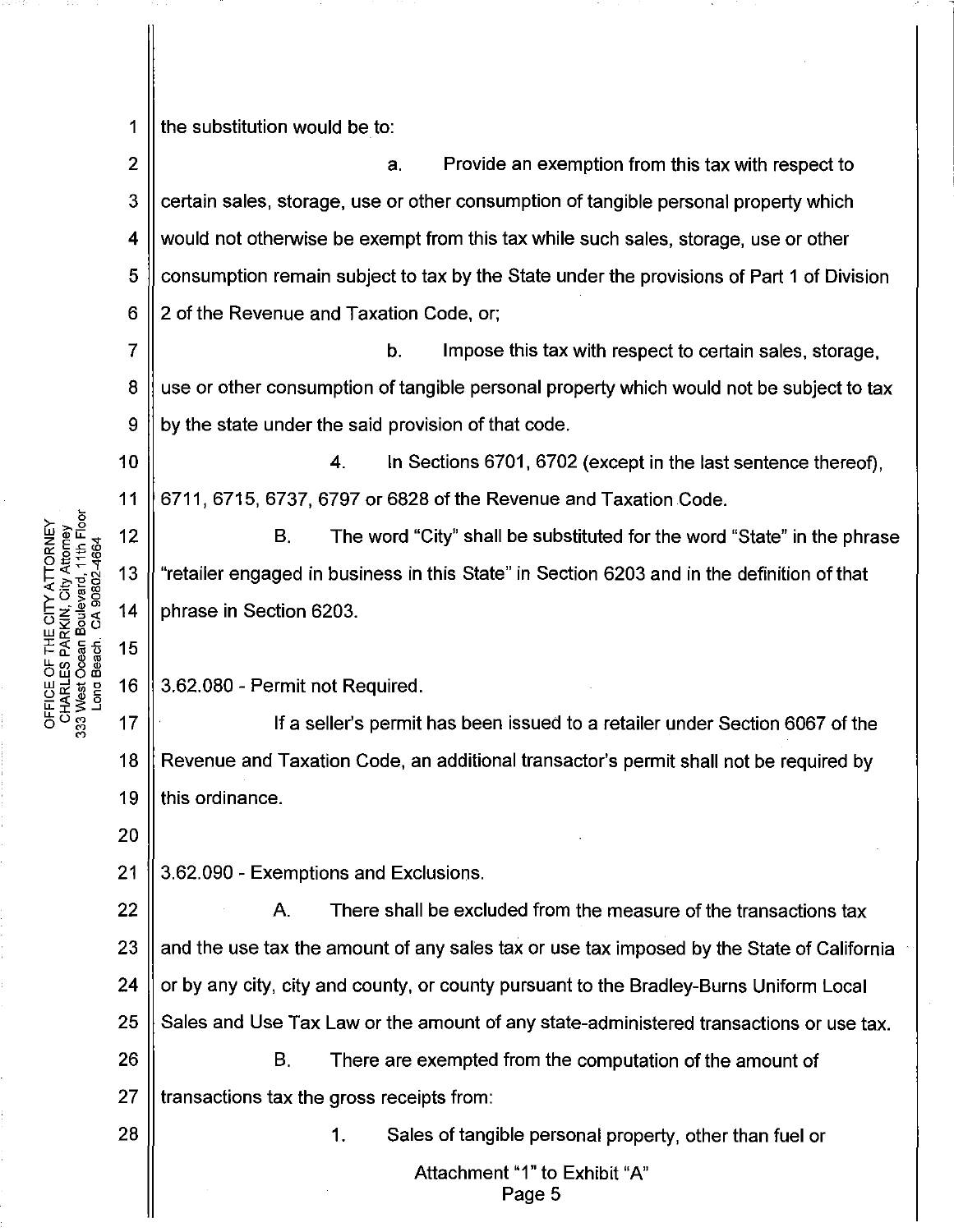1 the substitution would be to:

2 3 4 5 6 a. Provide an exemption from this tax with respect to certain sales, storage, use or other consumption of tangible personal property which would not otherwise be exempt from this tax while such sales, storage, use or other consumption remain subject to tax by the State under the provisions of Part 1 of Division 2 of the Revenue and Taxation Code, or;

7 8 9 b. Impose this tax with respect to certain sales, storage, use or other consumption of tangible personal property which would not be subject to tax by the state under the said provision of that code.

10 11 4. In Sections 6701, 6702 (except in the last sentence thereof), 6711, 6715, 6737, 6797 or 6828 of the Revenue and Taxation Code.

12 13 14 B. The word "City" shall be substituted for the word "State" in the phrase "retailer engaged in business in this State" in Section 6203 and in the definition of that phrase in Section 6203.

16 3.62.080 - Permit not Required.

If a seller's permit has been issued to a retailer under Section 6067 of the Revenue and Taxation Code, an additional transactor's permit shall not be required by 19 Il this ordinance. 17 18

20

15

21 3.62.090 - Exemptions and Exclusions.

22 A. There shall be excluded from the measure of the transactions tax  $23$  || and the use tax the amount of any sales tax or use tax imposed by the State of California 24 | or by any city, city and county, or county pursuant to the Bradley-Burns Uniform Local 25 Sales and Use Tax Law or the amount of any state-administered transactions or use tax.  $26$  || B. There are exempted from the computation of the amount of  $27$  || transactions tax the gross receipts from: 28 1. Sales of tangible personal property, other than fuel or

Attachment "1" to Exhibit "A"

Page 5

 $\mathcal{L}^{\mathsf{c}}_{\mathsf{gen}} \mathcal{L}^{\mathsf{c}}_{\mathsf{gen}}$  $\mathsf{L} \in \mathbb{R}^N$ THE CITY A<br>PARKIN, Cit<br>PARKIN, Cit<br><sup>320</sup> Boulevar<br>1ch CA 908 662<br>Designations **DFFICE OF THE CITY ATTORNEY**<br>CHARLES PARKIN, City Attorney<br>33 West Ocean Boulevard, 11th Flo<br>Long Beach. CA 90802-4664

도 또 옷 그<br>L<br>그 그 ~<br>그 그 그 그 그 그 그 그 그 그 그 그 그 그 그  $^{\circ}$  "  $^{\circ}$  "

5<br>آ≨ چ <del>∆</del>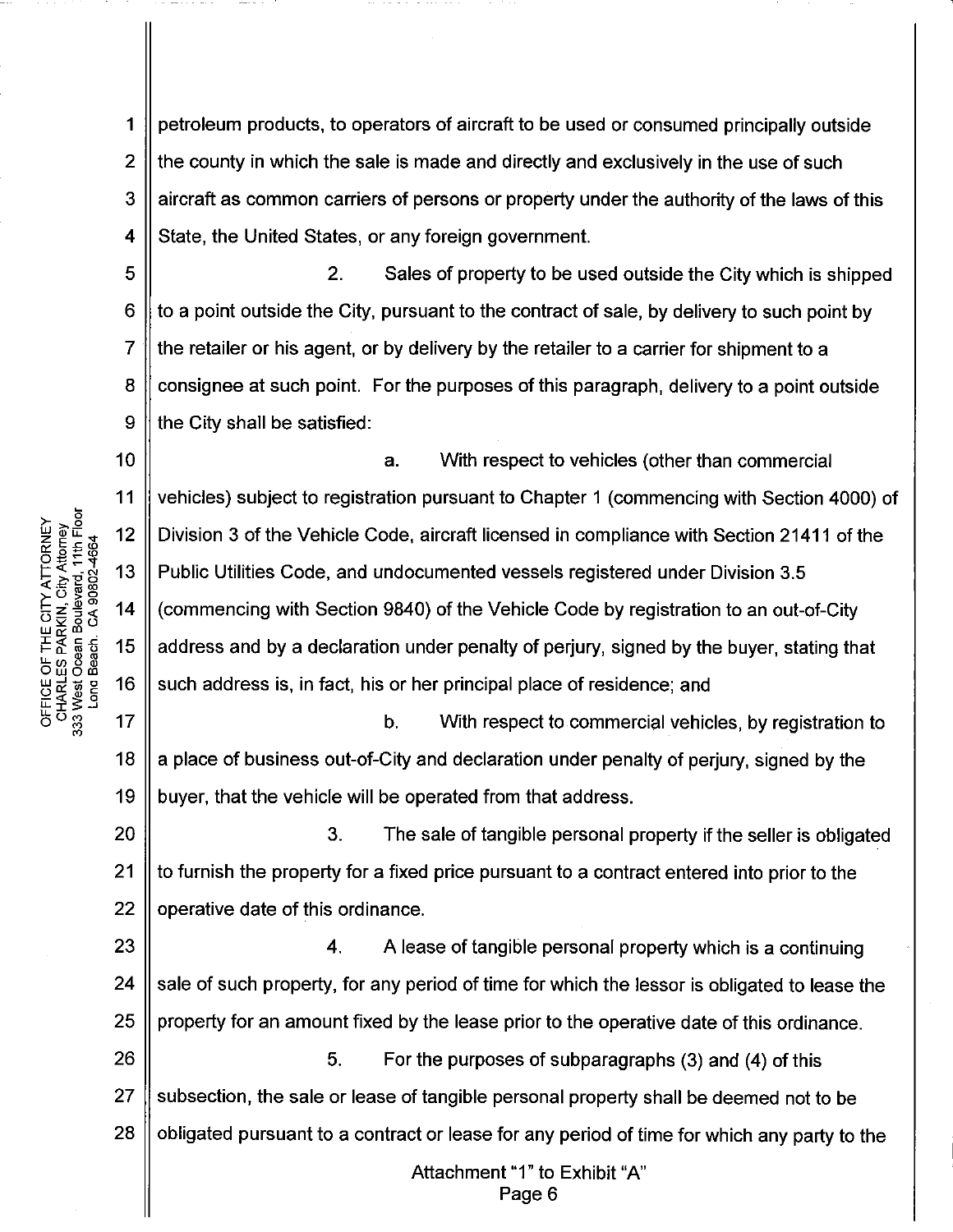1 | petroleum products, to operators of aircraft to be used or consumed principally outside  $2 \parallel$  the county in which the sale is made and directly and exclusively in the use of such  $3 \parallel$  aircraft as common carriers of persons or property under the authority of the laws of this 4 State, the United States, or any foreign government.

5 2. Sales of property to be used outside the City which is shipped 6  $\parallel$  to a point outside the City, pursuant to the contract of sale, by delivery to such point by  $7 \parallel$  the retailer or his agent, or by delivery by the retailer to a carrier for shipment to a  $8 \parallel$  consignee at such point. For the purposes of this paragraph, delivery to a point outside  $9$  || the City shall be satisfied:

10 11 12 13 14 15 16 a. With respect to vehicles (other than commercial vehicles) subject to registration pursuant to Chapter 1 (commencing with Section 4000) of Division 3 of the Vehicle Code, aircraft licensed in compliance with Section 21411 of the Public Utilities Code, and undocumented vessels registered under Division 3.5 (commencing with Section 9840) of the Vehicle Code by registration to an out-of-City address and by a declaration under penalty of perjury, signed by the buyer, stating that such address is, in fact, his or her principal place of residence; and

17 18 19 b. With respect to commercial vehicles, by registration to a place of business out-of-City and declaration under penalty of perjury, signed by the buyer, that the vehicle will be operated from that address.

20 21 22 3. The sale of tangible personal property if the seller is obligated to furnish the property for a fixed price pursuant to a contract entered into prior to the operative date of this ordinance.

23 24 25 26 4. A lease of tangible personal property which is a continuing sale of such property, for any period of time for which the lessor is obligated to lease the property for an amount fixed by the lease prior to the operative date of this ordinance. 5. For the purposes of subparagraphs (3) and (4) of this

27 28 subsection, the sale or lease of tangible personal property shall be deemed not to be obligated pursuant to a contract or lease for any period of time for which any party to the

> Attachment "1" to Exhibit "A" Page 6

<u>ਨ</u> ≍ ਦੂ 2<br>111<br>DEN<br>DEN<br>2002  $E \in \mathbb{R}^N$ THE CITY A<br>PARKIN, Cit<br>PARKIN, Cit<br>:an Boulevar<br>ich. CA 908( កូតូទូ THCE<br>WARLI<br>West (<br>Long l  $\mathbb{E} \, \mathsf{p} \, \mathbb{S}$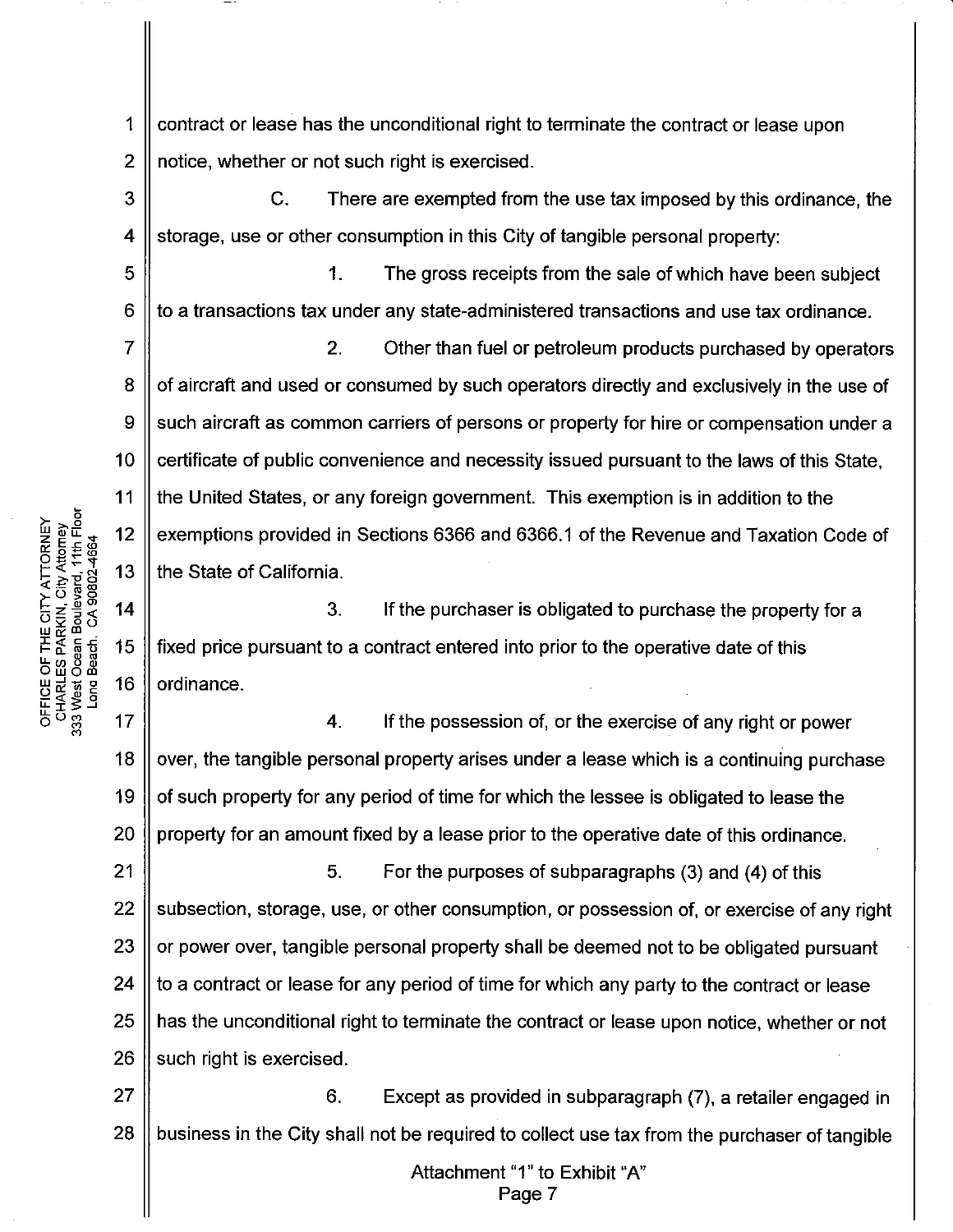1 | contract or lease has the unconditional right to terminate the contract or lease upon 2 || notice, whether or not such right is exercised.

 $3 \parallel$  C. There are exempted from the use tax imposed by this ordinance, the 4 Storage, use or other consumption in this City of tangible personal property:

5 1. The gross receipts from the sale of which have been subject 6  $\parallel$  to a transactions tax under any state-administered transactions and use tax ordinance.

10 2. Other than fuel or petroleum products purchased by operators of aircraft and used or consumed by such operators directly and exclusively in the use of such aircraft as common carriers of persons or property for hire or compensation under a certificate of public convenience and necessity issued pursuant to the laws of this State, the United States, or any foreign government. This exemption is in addition to the exemptions provided in Sections 6366 and 6366.1 of the Revenue and Taxation Code of the State of California.

3. If the purchaser is obligated to purchase the property for a fixed price pursuant to a contract entered into prior to the operative date of this ordinance.

 $17$ 4. If the possession of, or the exercise of any right or power 18 over, the tangible personal property arises under a lease which is a continuing purchase 19 of such property for any period of time for which the lessee is obligated to lease the 20 property for an amount fixed by a lease prior to the operative date of this ordinance.

21 5. For the purposes of subparagraphs (3) and (4) of this  $22$  || subsection, storage, use, or other consumption, or possession of, or exercise of any right 23  $\parallel$  or power over, tangible personal property shall be deemed not to be obligated pursuant 24  $\parallel$  to a contract or lease for any period of time for which any party to the contract or lease 25 || has the unconditional right to terminate the contract or lease upon notice, whether or not  $26$   $\parallel$  such right is exercised.

27 || 6. Except as provided in subparagraph (7), a retailer engaged in  $28$   $\parallel$  business in the City shall not be required to collect use tax from the purchaser of tangible

> Attachment "1" to Exhibit "A" Page 7

OFFICE OF THE CITY ATTORNEY<br>CHARLES PARKIN, City Attorney<br>333 West Ocean Boulevard, 11th Floor Long Beach CA 90802-4664 7

8

9

11

 $12$ 

13

 $14$ 

15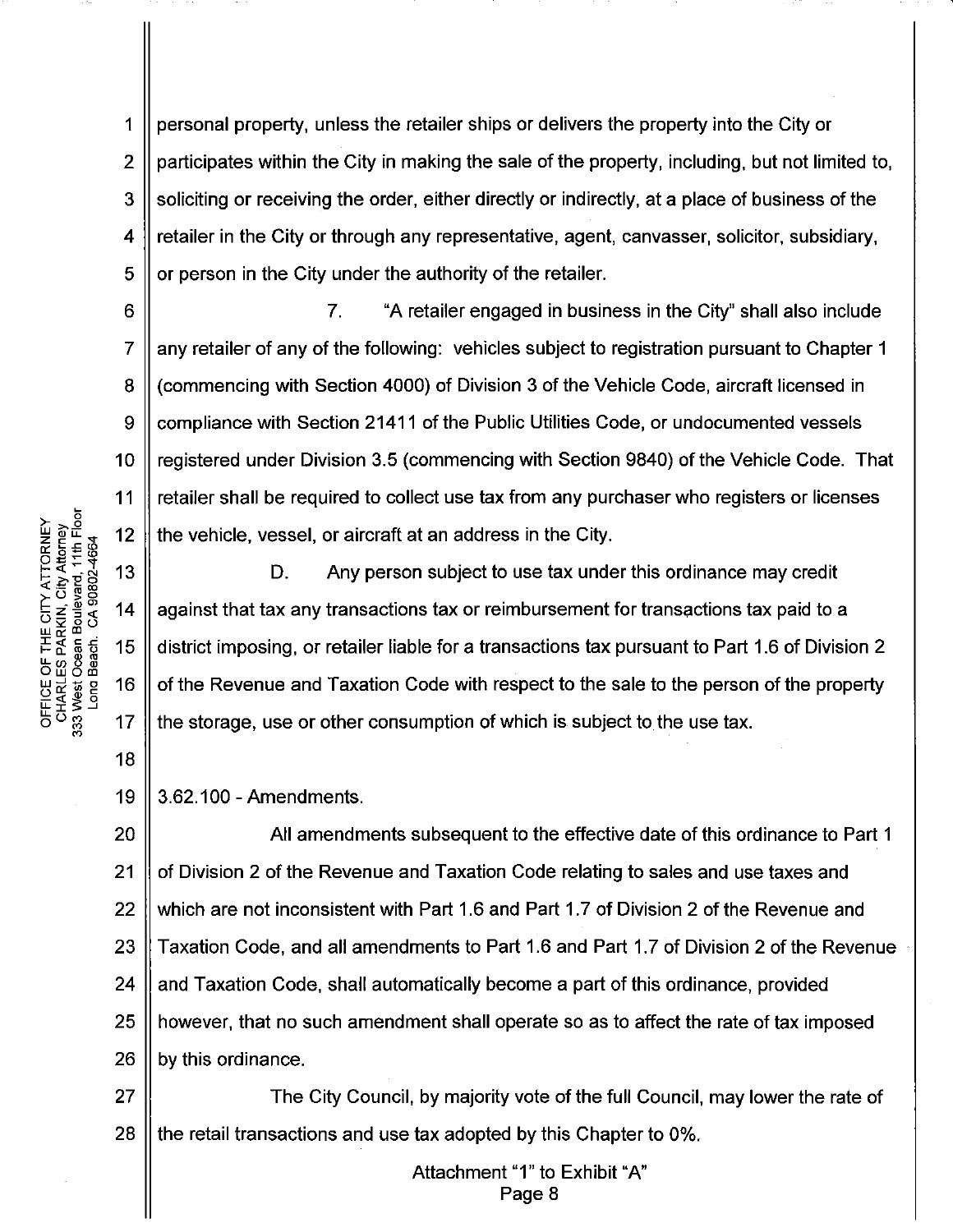personal property, unless the retailer ships or delivers the property into the City or 1  $\overline{2}$ participates within the City in making the sale of the property, including, but not limited to, soliciting or receiving the order, either directly or indirectly, at a place of business of the 3 retailer in the City or through any representative, agent, canvasser, solicitor, subsidiary, 4 5 or person in the City under the authority of the retailer.

 $\overline{7}$ . "A retailer engaged in business in the City" shall also include any retailer of any of the following: vehicles subject to registration pursuant to Chapter 1 (commencing with Section 4000) of Division 3 of the Vehicle Code, aircraft licensed in compliance with Section 21411 of the Public Utilities Code, or undocumented vessels registered under Division 3.5 (commencing with Section 9840) of the Vehicle Code. That retailer shall be required to collect use tax from any purchaser who registers or licenses the vehicle, vessel, or aircraft at an address in the City.

D. Any person subject to use tax under this ordinance may credit against that tax any transactions tax or reimbursement for transactions tax paid to a district imposing, or retailer liable for a transactions tax pursuant to Part 1.6 of Division 2 of the Revenue and Taxation Code with respect to the sale to the person of the property the storage, use or other consumption of which is subject to the use tax.

19 3.62.100 - Amendments.

20 All amendments subsequent to the effective date of this ordinance to Part 1  $21$ of Division 2 of the Revenue and Taxation Code relating to sales and use taxes and 22 which are not inconsistent with Part 1.6 and Part 1.7 of Division 2 of the Revenue and 23 Taxation Code, and all amendments to Part 1.6 and Part 1.7 of Division 2 of the Revenue 24 and Taxation Code, shall automatically become a part of this ordinance, provided 25 however, that no such amendment shall operate so as to affect the rate of tax imposed 26 by this ordinance.

27 The City Council, by majority vote of the full Council, may lower the rate of 28 the retail transactions and use tax adopted by this Chapter to 0%.

> Attachment "1" to Exhibit "A" Page 8

OFFICE OF THE CITY ATTORNEY<br>CHARLES PARKIN, City Attorney<br>333 West Ocean Boulevard, 11th Floor  $12$ Long Beach. CA 90802-4664 13 14 15 16

6

7

8

9

 $10$ 

11

 $17$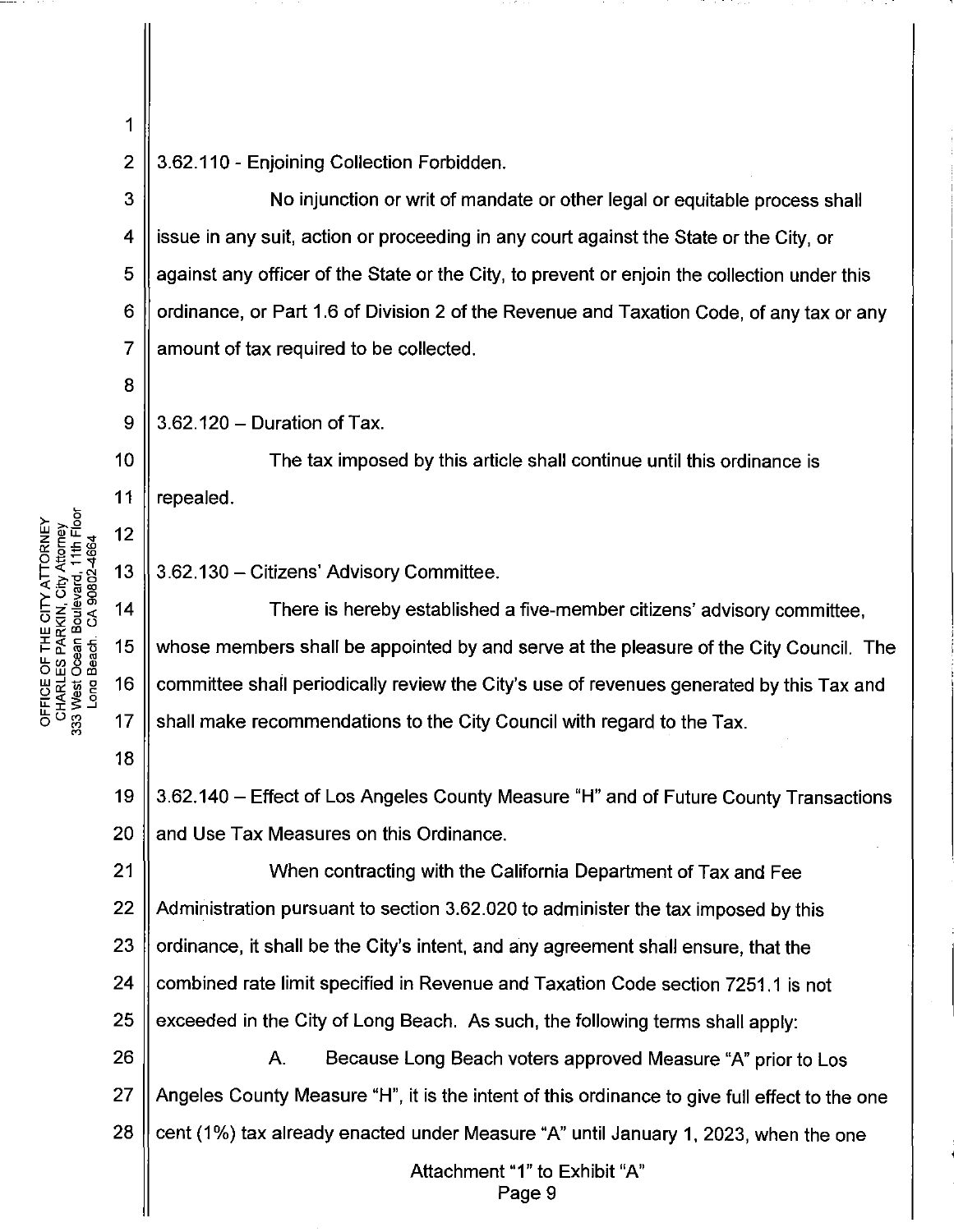$\overline{2}$ 

1

3.62.110 - Enjoining Collection Forbidden.

3 No injunction or writ of mandate or other legal or equitable process shall  $\overline{\mathbf{4}}$ issue in any suit, action or proceeding in any court against the State or the City, or 5 against any officer of the State or the City, to prevent or enjoin the collection under this ordinance, or Part 1.6 of Division 2 of the Revenue and Taxation Code, of any tax or any 6  $\overline{7}$ amount of tax required to be collected.

8

9

 $10$ 

 $11$ 

18

3.62.120 - Duration of Tax.

The tax imposed by this article shall continue until this ordinance is repealed.

13 3.62.130 - Citizens' Advisory Committee.

 $14$ There is hereby established a five-member citizens' advisory committee. 15 whose members shall be appointed by and serve at the pleasure of the City Council. The 16 committee shall periodically review the City's use of revenues generated by this Tax and  $17$ shall make recommendations to the City Council with regard to the Tax.

19 3.62.140 – Effect of Los Angeles County Measure "H" and of Future County Transactions 20 and Use Tax Measures on this Ordinance.

 $21$ When contracting with the California Department of Tax and Fee 22 Administration pursuant to section 3.62.020 to administer the tax imposed by this 23 ordinance, it shall be the City's intent, and any agreement shall ensure, that the 24 combined rate limit specified in Revenue and Taxation Code section 7251.1 is not 25 exceeded in the City of Long Beach. As such, the following terms shall apply:

26 A. Because Long Beach voters approved Measure "A" prior to Los 27 Angeles County Measure "H", it is the intent of this ordinance to give full effect to the one 28 cent (1%) tax already enacted under Measure "A" until January 1, 2023, when the one

> Attachment "1" to Exhibit "A" Page 9

OFFICE OF THE CITY ATTORNEY<br>CHARLES PARKIN, City Attorney<br>333 West Ocean Boulevard, 11th Floor<br>Long Beach. CA 90802-4664  $12$